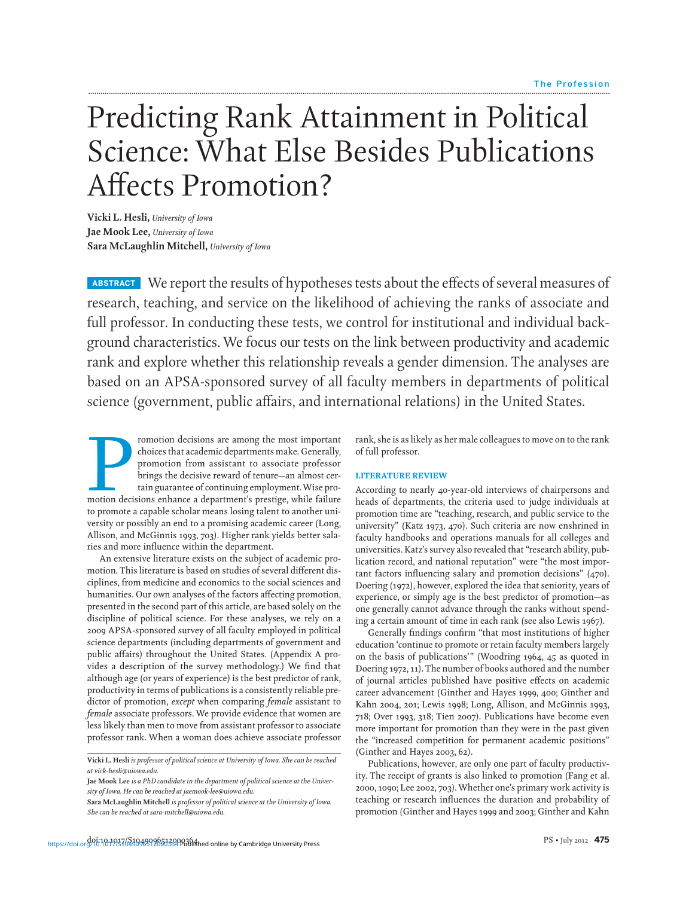# Predicting Rank Attainment in Political Science: What Else Besides Publications Affects Promotion?

**Vicki L. Hesli,** *University of Iowa* **Jae Mook Lee,** *University of Iowa* **Sara McLaughlin Mitchell,** *University of Iowa*

**ABSTRACT** We report the results of hypotheses tests about the effects of several measures of research, teaching, and service on the likelihood of achieving the ranks of associate and full professor. In conducting these tests, we control for institutional and individual background characteristics. We focus our tests on the link between productivity and academic rank and explore whether this relationship reveals a gender dimension. The analyses are based on an APSA-sponsored survey of all faculty members in departments of political science (government, public affairs, and international relations) in the United States.

Fromotion decisions are among the most important<br>
choices that academic departments make. Generally,<br>
promotion from assistant to associate professor<br>
brings the decisive reward of tenure—an almost cer-<br>
tain guarantee of choices that academic departments make. Generally, promotion from assistant to associate professor brings the decisive reward of tenure—an almost certain guarantee of continuing employment.Wise proto promote a capable scholar means losing talent to another university or possibly an end to a promising academic career (Long, Allison, and McGinnis 1993, 703). Higher rank yields better salaries and more influence within the department.

An extensive literature exists on the subject of academic promotion. This literature is based on studies of several different disciplines, from medicine and economics to the social sciences and humanities. Our own analyses of the factors affecting promotion, presented in the second part of this article, are based solely on the discipline of political science. For these analyses, we rely on a 2009 APSA-sponsored survey of all faculty employed in political science departments (including departments of government and public affairs) throughout the United States. (Appendix A provides a description of the survey methodology.) We find that although age (or years of experience) is the best predictor of rank, productivity in terms of publications is a consistently reliable predictor of promotion, *except* when comparing *female* assistant to *female* associate professors. We provide evidence that women are less likely than men to move from assistant professor to associate professor rank. When a woman does achieve associate professor rank, she is as likely as her male colleagues to move on to the rank of full professor.

### LITERATURE REVIEW

According to nearly 40-year-old interviews of chairpersons and heads of departments, the criteria used to judge individuals at promotion time are "teaching, research, and public service to the university" (Katz 1973, 470). Such criteria are now enshrined in faculty handbooks and operations manuals for all colleges and universities. Katz's survey also revealed that "research ability, publication record, and national reputation" were "the most important factors influencing salary and promotion decisions" (470). Doering (1972), however, explored the idea that seniority, years of experience, or simply age is the best predictor of promotion—as one generally cannot advance through the ranks without spending a certain amount of time in each rank (see also Lewis 1967).

Generally findings confirm "that most institutions of higher education 'continue to promote or retain faculty members largely on the basis of publications'" (Woodring 1964, 45 as quoted in Doering 1972, 11). The number of books authored and the number of journal articles published have positive effects on academic career advancement (Ginther and Hayes 1999, 400; Ginther and Kahn 2004, 201; Lewis 1998; Long, Allison, and McGinnis 1993, 718; Over 1993, 318; Tien 2007). Publications have become even more important for promotion than they were in the past given the "increased competition for permanent academic positions" (Ginther and Hayes 2003, 62).

Publications, however, are only one part of faculty productivity. The receipt of grants is also linked to promotion (Fang et al. 2000, 1090; Lee 2002, 703).Whether one's primary work activity is teaching or research influences the duration and probability of promotion (Ginther and Hayes 1999 and 2003; Ginther and Kahn

**Vicki L. Hesli** *is professor of political science at University of Iowa. She can be reached at vick-hesli@uiowa.edu*.

**Jae Mook Lee** *is a PhD candidate in the department of political science at the University of Iowa. He can be reached at jaemook-lee@uiowa.edu*.

**Sara McLaughlin Mitchell** *is professor of political science at the University of Iowa. She can be reached at sara-mitchell@uiowa.edu*.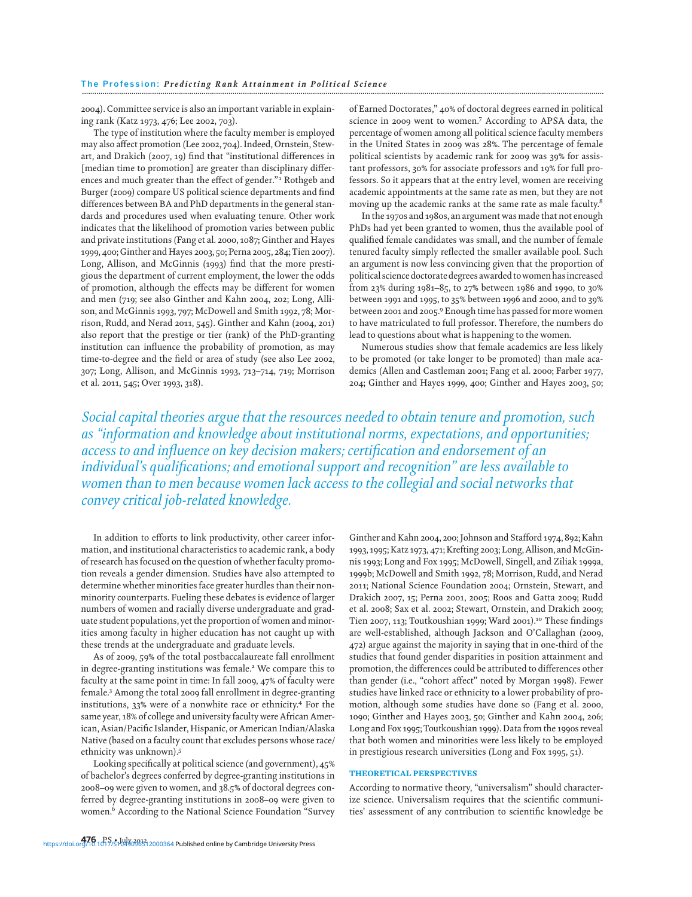2004). Committee service is also an important variable in explaining rank (Katz 1973, 476; Lee 2002, 703).

The type of institution where the faculty member is employed may also affect promotion (Lee 2002, 704). Indeed, Ornstein, Stewart, and Drakich (2007, 19) find that "institutional differences in [median time to promotion] are greater than disciplinary differences and much greater than the effect of gender."<sup>1</sup> Rothgeb and Burger (2009) compare US political science departments and find differences between BA and PhD departments in the general standards and procedures used when evaluating tenure. Other work indicates that the likelihood of promotion varies between public and private institutions (Fang et al. 2000, 1087; Ginther and Hayes 1999, 400; Ginther and Hayes 2003, 50; Perna 2005, 284;Tien 2007). Long, Allison, and McGinnis (1993) find that the more prestigious the department of current employment, the lower the odds of promotion, although the effects may be different for women and men (719; see also Ginther and Kahn 2004, 202; Long, Allison, and McGinnis 1993, 797; McDowell and Smith 1992, 78; Morrison, Rudd, and Nerad 2011, 545). Ginther and Kahn (2004, 201) also report that the prestige or tier (rank) of the PhD-granting institution can influence the probability of promotion, as may time-to-degree and the field or area of study (see also Lee 2002, 307; Long, Allison, and McGinnis 1993, 713–714, 719; Morrison et al. 2011, 545; Over 1993, 318).

of Earned Doctorates," 40% of doctoral degrees earned in political science in 2009 went to women.7 According to APSA data, the percentage of women among all political science faculty members in the United States in 2009 was 28%. The percentage of female political scientists by academic rank for 2009 was 39% for assistant professors, 30% for associate professors and 19% for full professors. So it appears that at the entry level, women are receiving academic appointments at the same rate as men, but they are not moving up the academic ranks at the same rate as male faculty.8

In the 1970s and 1980s, an argument was made that not enough PhDs had yet been granted to women, thus the available pool of qualified female candidates was small, and the number of female tenured faculty simply reflected the smaller available pool. Such an argument is now less convincing given that the proportion of political science doctorate degreesawarded towomen hasincreased from 23% during 1981–85, to 27% between 1986 and 1990, to 30% between 1991 and 1995, to 35% between 1996 and 2000, and to 39% between 2001 and 2005.9 Enough time has passed for more women to have matriculated to full professor. Therefore, the numbers do lead to questions about what is happening to the women.

Numerous studies show that female academics are less likely to be promoted (or take longer to be promoted) than male academics (Allen and Castleman 2001; Fang et al. 2000; Farber 1977, 204; Ginther and Hayes 1999, 400; Ginther and Hayes 2003, 50;

*Social capital theories argue that the resources needed to obtain tenure and promotion, such as "information and knowledge about institutional norms, expectations, and opportunities; access to and influence on key decision makers; certification and endorsement of an individual's qualifications; and emotional support and recognition" are less available to women than to men because women lack access to the collegial and social networks that convey critical job-related knowledge.*

In addition to efforts to link productivity, other career information, and institutional characteristics to academic rank, a body of research has focused on the question of whether faculty promotion reveals a gender dimension. Studies have also attempted to determine whether minorities face greater hurdles than their nonminority counterparts. Fueling these debates is evidence of larger numbers of women and racially diverse undergraduate and graduate student populations, yet the proportion of women and minorities among faculty in higher education has not caught up with these trends at the undergraduate and graduate levels.

As of 2009, 59% of the total postbaccalaureate fall enrollment in degree-granting institutions was female.<sup>2</sup> We compare this to faculty at the same point in time: In fall 2009, 47% of faculty were female.3 Among the total 2009 fall enrollment in degree-granting institutions, 33% were of a nonwhite race or ethnicity.4 For the same year, 18% of college and university faculty were African American, Asian/Pacific Islander, Hispanic, or American Indian/Alaska Native (based on a faculty count that excludes persons whose race/ ethnicity was unknown).5

Looking specifically at political science (and government), 45% of bachelor's degrees conferred by degree-granting institutions in 2008–09 were given to women, and 38.5% of doctoral degrees conferred by degree-granting institutions in 2008–09 were given to women.6 According to the National Science Foundation "Survey

Ginther and Kahn 2004, 200; Johnson and Stafford 1974, 892; Kahn 1993, 1995; Katz 1973, 471; Krefting 2003; Long, Allison, and McGinnis 1993; Long and Fox 1995; McDowell, Singell, and Ziliak 1999a, 1999b; McDowell and Smith 1992, 78; Morrison, Rudd, and Nerad 2011; National Science Foundation 2004; Ornstein, Stewart, and Drakich 2007, 15; Perna 2001, 2005; Roos and Gatta 2009; Rudd et al. 2008; Sax et al. 2002; Stewart, Ornstein, and Drakich 2009; Tien 2007, 113; Toutkoushian 1999; Ward 2001).<sup>10</sup> These findings are well-established, although Jackson and O'Callaghan (2009, 472) argue against the majority in saying that in one-third of the studies that found gender disparities in position attainment and promotion, the differences could be attributed to differences other than gender (i.e., "cohort affect" noted by Morgan 1998). Fewer studies have linked race or ethnicity to a lower probability of promotion, although some studies have done so (Fang et al. 2000, 1090; Ginther and Hayes 2003, 50; Ginther and Kahn 2004, 206; Long and Fox 1995; Toutkoushian 1999). Data from the 1990s reveal that both women and minorities were less likely to be employed in prestigious research universities (Long and Fox 1995, 51).

### THEORETICAL PERSPECTIVES

According to normative theory, "universalism" should characterize science. Universalism requires that the scientific communities' assessment of any contribution to scientific knowledge be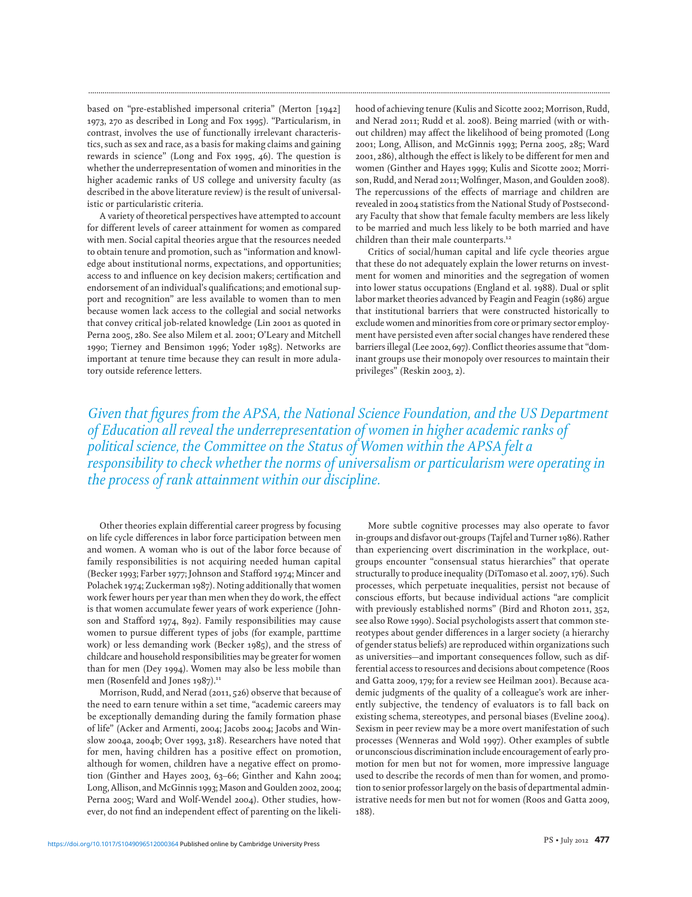based on "pre-established impersonal criteria" (Merton [1942] 1973, 270 as described in Long and Fox 1995). "Particularism, in contrast, involves the use of functionally irrelevant characteristics, such as sex and race, as a basis for making claims and gaining rewards in science" (Long and Fox 1995, 46). The question is whether the underrepresentation of women and minorities in the higher academic ranks of US college and university faculty (as described in the above literature review) is the result of universalistic or particularistic criteria.

A variety of theoretical perspectives have attempted to account for different levels of career attainment for women as compared with men. Social capital theories argue that the resources needed to obtain tenure and promotion, such as "information and knowledge about institutional norms, expectations, and opportunities; access to and influence on key decision makers; certification and endorsement of an individual's qualifications; and emotional support and recognition" are less available to women than to men because women lack access to the collegial and social networks that convey critical job-related knowledge (Lin 2001 as quoted in Perna 2005, 280. See also Milem et al. 2001; O'Leary and Mitchell 1990; Tierney and Bensimon 1996; Yoder 1985). Networks are important at tenure time because they can result in more adulatory outside reference letters.

hood of achieving tenure (Kulis and Sicotte 2002; Morrison, Rudd, and Nerad 2011; Rudd et al. 2008). Being married (with or without children) may affect the likelihood of being promoted (Long 2001; Long, Allison, and McGinnis 1993; Perna 2005, 285; Ward 2001, 286), although the effect is likely to be different for men and women (Ginther and Hayes 1999; Kulis and Sicotte 2002; Morrison, Rudd, and Nerad 2011;Wolfinger, Mason, and Goulden 2008). The repercussions of the effects of marriage and children are revealed in 2004 statistics from the National Study of Postsecondary Faculty that show that female faculty members are less likely to be married and much less likely to be both married and have children than their male counterparts.12

Critics of social/human capital and life cycle theories argue that these do not adequately explain the lower returns on investment for women and minorities and the segregation of women into lower status occupations (England et al. 1988). Dual or split labor market theories advanced by Feagin and Feagin (1986) argue that institutional barriers that were constructed historically to exclude women and minorities from core or primary sector employment have persisted even after social changes have rendered these barriers illegal (Lee 2002, 697). Conflict theories assume that "dominant groups use their monopoly over resources to maintain their privileges" (Reskin 2003, 2).

*Given that figures from the APSA, the National Science Foundation, and the US Department of Education all reveal the underrepresentation of women in higher academic ranks of political science, the Committee on the Status of Women within the APSA felt a responsibility to check whether the norms of universalism or particularism were operating in the process of rank attainment within our discipline.*

**.............................................................................................................................................................................................................................................................**

Other theories explain differential career progress by focusing on life cycle differences in labor force participation between men and women. A woman who is out of the labor force because of family responsibilities is not acquiring needed human capital (Becker 1993; Farber 1977; Johnson and Stafford 1974; Mincer and Polachek 1974; Zuckerman 1987). Noting additionally that women work fewer hours per year than men when they do work, the effect is that women accumulate fewer years of work experience (Johnson and Stafford 1974, 892). Family responsibilities may cause women to pursue different types of jobs (for example, parttime work) or less demanding work (Becker 1985), and the stress of childcare and household responsibilities may be greater for women than for men (Dey 1994). Women may also be less mobile than men (Rosenfeld and Jones 1987).<sup>11</sup>

Morrison, Rudd, and Nerad (2011, 526) observe that because of the need to earn tenure within a set time, "academic careers may be exceptionally demanding during the family formation phase of life" (Acker and Armenti, 2004; Jacobs 2004; Jacobs and Winslow 2004a, 2004b; Over 1993, 318). Researchers have noted that for men, having children has a positive effect on promotion, although for women, children have a negative effect on promotion (Ginther and Hayes 2003, 63–66; Ginther and Kahn 2004; Long, Allison, and McGinnis 1993; Mason and Goulden 2002, 2004; Perna 2005; Ward and Wolf-Wendel 2004). Other studies, however, do not find an independent effect of parenting on the likeli-

More subtle cognitive processes may also operate to favor in-groups and disfavor out-groups (Tajfel and Turner 1986). Rather than experiencing overt discrimination in the workplace, outgroups encounter "consensual status hierarchies" that operate structurally to produce inequality (DiTomaso et al. 2007, 176). Such processes, which perpetuate inequalities, persist not because of conscious efforts, but because individual actions "are complicit with previously established norms" (Bird and Rhoton 2011, 352, see also Rowe 1990). Social psychologists assert that common stereotypes about gender differences in a larger society (a hierarchy of gender status beliefs) are reproduced within organizations such as universities—and important consequences follow, such as differential access to resources and decisions about competence (Roos and Gatta 2009, 179; for a review see Heilman 2001). Because academic judgments of the quality of a colleague's work are inherently subjective, the tendency of evaluators is to fall back on existing schema, stereotypes, and personal biases (Eveline 2004). Sexism in peer review may be a more overt manifestation of such processes (Wenneras and Wold 1997). Other examples of subtle or unconscious discrimination include encouragement of early promotion for men but not for women, more impressive language used to describe the records of men than for women, and promotion to senior professor largely on the basis of departmental administrative needs for men but not for women (Roos and Gatta 2009, 188).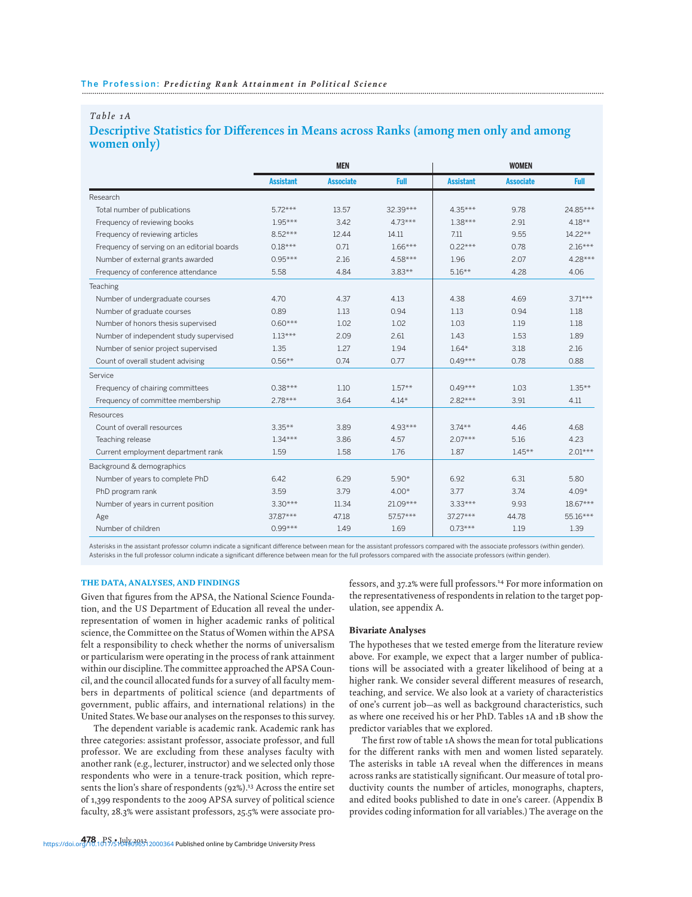### *Table 1A*

# **Descriptive Statistics for Differences in Means across Ranks (among men only and among women only)**

|                                             | <b>MEN</b>       |                  |             | <b>WOMEN</b>     |                  |             |
|---------------------------------------------|------------------|------------------|-------------|------------------|------------------|-------------|
|                                             | <b>Assistant</b> | <b>Associate</b> | <b>Full</b> | <b>Assistant</b> | <b>Associate</b> | <b>Full</b> |
| Research                                    |                  |                  |             |                  |                  |             |
| Total number of publications                | $5.72***$        | 13.57            | 32.39***    | $4.35***$        | 9.78             | 24.85***    |
| Frequency of reviewing books                | $1.95***$        | 3.42             | $4.73***$   | $1.38***$        | 2.91             | $4.18***$   |
| Frequency of reviewing articles             | $8.52***$        | 12.44            | 14.11       | 7.11             | 9.55             | 14.22**     |
| Frequency of serving on an editorial boards | $0.18***$        | 0.71             | $1.66***$   | $0.22***$        | 0.78             | $2.16***$   |
| Number of external grants awarded           | $0.95***$        | 2.16             | $4.58***$   | 1.96             | 2.07             | $4.28***$   |
| Frequency of conference attendance          | 5.58             | 4.84             | $3.83***$   | $5.16***$        | 4.28             | 4.06        |
| Teaching                                    |                  |                  |             |                  |                  |             |
| Number of undergraduate courses             | 4.70             | 4.37             | 4.13        | 4.38             | 4.69             | $3.71***$   |
| Number of graduate courses                  | 0.89             | 1.13             | 0.94        | 1.13             | 0.94             | 1.18        |
| Number of honors thesis supervised          | $0.60***$        | 1.02             | 1.02        | 1.03             | 1.19             | 1.18        |
| Number of independent study supervised      | $1.13***$        | 2.09             | 2.61        | 1.43             | 1.53             | 1.89        |
| Number of senior project supervised         | 1.35             | 1.27             | 1.94        | $1.64*$          | 3.18             | 2.16        |
| Count of overall student advising           | $0.56***$        | 0.74             | 0.77        | $0.49***$        | 0.78             | 0.88        |
| Service                                     |                  |                  |             |                  |                  |             |
| Frequency of chairing committees            | $0.38***$        | 1.10             | $1.57**$    | $0.49***$        | 1.03             | $1.35***$   |
| Frequency of committee membership           | $2.78***$        | 3.64             | $4.14*$     | $2.82***$        | 3.91             | 4.11        |
| Resources                                   |                  |                  |             |                  |                  |             |
| Count of overall resources                  | $3.35***$        | 3.89             | $4.93***$   | $3.74***$        | 4.46             | 4.68        |
| Teaching release                            | $1.34***$        | 3.86             | 4.57        | $2.07***$        | 5.16             | 4.23        |
| Current employment department rank          | 1.59             | 1.58             | 1.76        | 1.87             | $1.45***$        | $2.01***$   |
| Background & demographics                   |                  |                  |             |                  |                  |             |
| Number of years to complete PhD             | 6.42             | 6.29             | $5.90*$     | 6.92             | 6.31             | 5.80        |
| PhD program rank                            | 3.59             | 3.79             | $4.00*$     | 3.77             | 3.74             | $4.09*$     |
| Number of years in current position         | $3.30***$        | 11.34            | 21.09***    | $3.33***$        | 9.93             | $18.67***$  |
| Age                                         | 37.87***         | 47.18            | 57.57***    | $37.27***$       | 44.78            | 55.16***    |
| Number of children                          | $0.99***$        | 1.49             | 1.69        | $0.73***$        | 1.19             | 1.39        |

Asterisks in the assistant professor column indicate a significant difference between mean for the assistant professors compared with the associate professors (within gender). Asterisks in the full professor column indicate a significant difference between mean for the full professors compared with the associate professors (within gender).

### THE DATA, ANALYSES, AND FINDINGS

Given that figures from the APSA, the National Science Foundation, and the US Department of Education all reveal the underrepresentation of women in higher academic ranks of political science, the Committee on the Status ofWomen within the APSA felt a responsibility to check whether the norms of universalism or particularism were operating in the process of rank attainment within our discipline.The committee approached the APSA Council, and the council allocated funds for a survey of all faculty members in departments of political science (and departments of government, public affairs, and international relations) in the United States.We base our analyses on the responses to this survey.

The dependent variable is academic rank. Academic rank has three categories: assistant professor, associate professor, and full professor. We are excluding from these analyses faculty with another rank (e.g., lecturer, instructor) and we selected only those respondents who were in a tenure-track position, which represents the lion's share of respondents (92%).<sup>13</sup> Across the entire set of 1,399 respondents to the 2009 APSA survey of political science faculty, 28.3% were assistant professors, 25.5% were associate professors, and 37.2% were full professors.14 For more information on the representativeness of respondents in relation to the target population, see appendix A.

### Bivariate Analyses

The hypotheses that we tested emerge from the literature review above. For example, we expect that a larger number of publications will be associated with a greater likelihood of being at a higher rank. We consider several different measures of research, teaching, and service. We also look at a variety of characteristics of one's current job—as well as background characteristics, such as where one received his or her PhD. Tables 1A and 1B show the predictor variables that we explored.

The first row of table 1A shows the mean for total publications for the different ranks with men and women listed separately. The asterisks in table 1A reveal when the differences in means across ranks are statistically significant. Our measure of total productivity counts the number of articles, monographs, chapters, and edited books published to date in one's career. (Appendix B provides coding information for all variables.) The average on the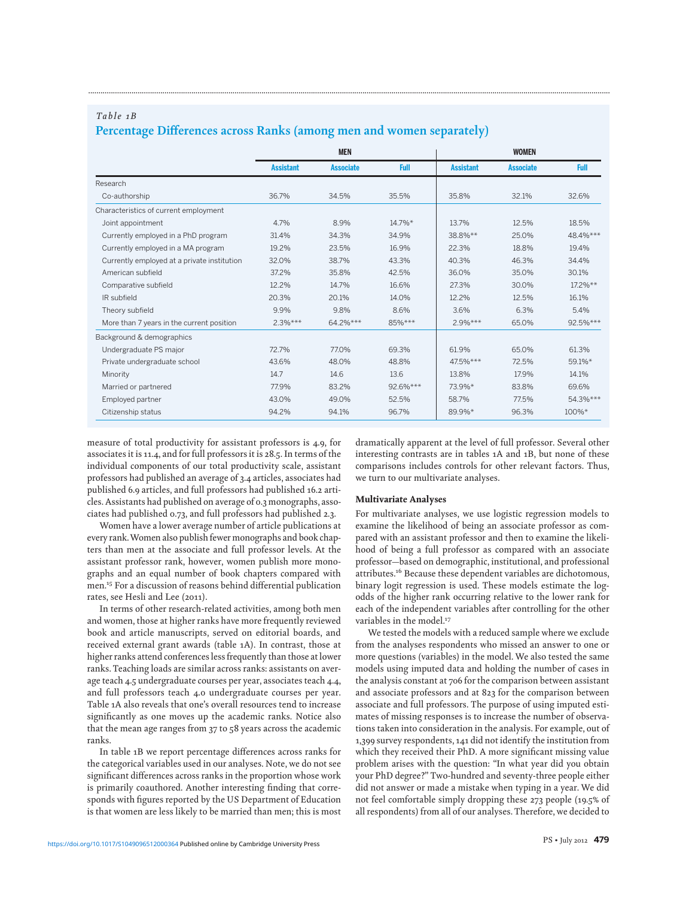# *Table 1B* **Percentage Differences across Ranks (among men and women separately)**

|                                             | <b>MEN</b>       |                  |          |                  | <b>WOMEN</b>     |             |
|---------------------------------------------|------------------|------------------|----------|------------------|------------------|-------------|
|                                             | <b>Assistant</b> | <b>Associate</b> | Full     | <b>Assistant</b> | <b>Associate</b> | <b>Full</b> |
| Research                                    |                  |                  |          |                  |                  |             |
| Co-authorship                               | 36.7%            | 34.5%            | 35.5%    | 35.8%            | 32.1%            | 32.6%       |
| Characteristics of current employment       |                  |                  |          |                  |                  |             |
| Joint appointment                           | 4.7%             | 8.9%             | 14.7%*   | 13.7%            | 12.5%            | 18.5%       |
| Currently employed in a PhD program         | 31.4%            | 34.3%            | 34.9%    | 38.8%**          | 25.0%            | 48.4%***    |
| Currently employed in a MA program          | 19.2%            | 23.5%            | 16.9%    | 22.3%            | 18.8%            | 19.4%       |
| Currently employed at a private institution | 32.0%            | 38.7%            | 43.3%    | 40.3%            | 46.3%            | 34.4%       |
| American subfield                           | 37.2%            | 35.8%            | 42.5%    | 36.0%            | 35.0%            | 30.1%       |
| Comparative subfield                        | 12.2%            | 14.7%            | 16.6%    | 27.3%            | 30.0%            | 17.2%**     |
| IR subfield                                 | 20.3%            | 20.1%            | 14.0%    | 12.2%            | 12.5%            | 16.1%       |
| Theory subfield                             | 9.9%             | 9.8%             | 8.6%     | 3.6%             | 6.3%             | 5.4%        |
| More than 7 years in the current position   | $2.3\%$ ***      | 64.2%***         | 85%***   | $2.9\%***$       | 65.0%            | 92.5%***    |
| Background & demographics                   |                  |                  |          |                  |                  |             |
| Undergraduate PS major                      | 72.7%            | 77.0%            | 69.3%    | 61.9%            | 65.0%            | 61.3%       |
| Private undergraduate school                | 43.6%            | 48.0%            | 48.8%    | 47.5%***         | 72.5%            | 59.1%*      |
| Minority                                    | 14.7             | 14.6             | 13.6     | 13.8%            | 17.9%            | 14.1%       |
| Married or partnered                        | 77.9%            | 83.2%            | 92.6%*** | 73.9%*           | 83.8%            | 69.6%       |
| Employed partner                            | 43.0%            | 49.0%            | 52.5%    | 58.7%            | 77.5%            | 54.3%***    |
| Citizenship status                          | 94.2%            | 94.1%            | 96.7%    | 89.9%*           | 96.3%            | 100%*       |

**.............................................................................................................................................................................................................................................................**

measure of total productivity for assistant professors is 4.9, for associates it is 11.4, and for full professors it is 28.5. In terms of the individual components of our total productivity scale, assistant professors had published an average of 3.4 articles, associates had published 6.9 articles, and full professors had published 16.2 articles. Assistants had published on average of 0.3 monographs, associates had published 0.73, and full professors had published 2.3.

Women have a lower average number of article publications at every rank.Women also publish fewer monographs and book chapters than men at the associate and full professor levels. At the assistant professor rank, however, women publish more monographs and an equal number of book chapters compared with men.15 For a discussion of reasons behind differential publication rates, see Hesli and Lee (2011).

In terms of other research-related activities, among both men and women, those at higher ranks have more frequently reviewed book and article manuscripts, served on editorial boards, and received external grant awards (table 1A). In contrast, those at higher ranks attend conferences less frequently than those at lower ranks. Teaching loads are similar across ranks: assistants on average teach 4.5 undergraduate courses per year, associates teach 4.4, and full professors teach 4.0 undergraduate courses per year. Table 1A also reveals that one's overall resources tend to increase significantly as one moves up the academic ranks. Notice also that the mean age ranges from 37 to 58 years across the academic ranks.

In table 1B we report percentage differences across ranks for the categorical variables used in our analyses. Note, we do not see significant differences across ranks in the proportion whose work is primarily coauthored. Another interesting finding that corresponds with figures reported by the US Department of Education is that women are less likely to be married than men; this is most dramatically apparent at the level of full professor. Several other interesting contrasts are in tables 1A and 1B, but none of these comparisons includes controls for other relevant factors. Thus, we turn to our multivariate analyses.

### Multivariate Analyses

For multivariate analyses, we use logistic regression models to examine the likelihood of being an associate professor as compared with an assistant professor and then to examine the likelihood of being a full professor as compared with an associate professor—based on demographic, institutional, and professional attributes.16 Because these dependent variables are dichotomous, binary logit regression is used. These models estimate the logodds of the higher rank occurring relative to the lower rank for each of the independent variables after controlling for the other variables in the model.<sup>17</sup>

We tested the models with a reduced sample where we exclude from the analyses respondents who missed an answer to one or more questions (variables) in the model. We also tested the same models using imputed data and holding the number of cases in the analysis constant at 706 for the comparison between assistant and associate professors and at 823 for the comparison between associate and full professors. The purpose of using imputed estimates of missing responses is to increase the number of observations taken into consideration in the analysis. For example, out of 1,399 survey respondents, 141 did not identify the institution from which they received their PhD. A more significant missing value problem arises with the question: "In what year did you obtain your PhD degree?" Two-hundred and seventy-three people either did not answer or made a mistake when typing in a year. We did not feel comfortable simply dropping these 273 people (19.5% of all respondents) from all of our analyses. Therefore, we decided to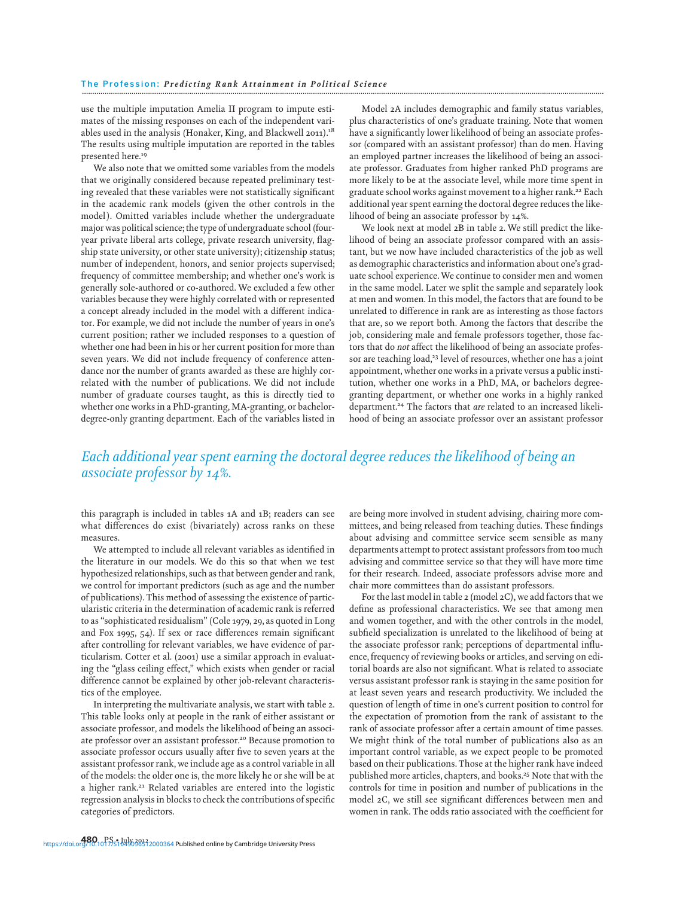use the multiple imputation Amelia II program to impute estimates of the missing responses on each of the independent variables used in the analysis (Honaker, King, and Blackwell 2011).<sup>18</sup> The results using multiple imputation are reported in the tables presented here.<sup>19</sup>

We also note that we omitted some variables from the models that we originally considered because repeated preliminary testing revealed that these variables were not statistically significant in the academic rank models (given the other controls in the model). Omitted variables include whether the undergraduate major was political science; the type of undergraduate school (fouryear private liberal arts college, private research university, flagship state university, or other state university); citizenship status; number of independent, honors, and senior projects supervised; frequency of committee membership; and whether one's work is generally sole-authored or co-authored. We excluded a few other variables because they were highly correlated with or represented a concept already included in the model with a different indicator. For example, we did not include the number of years in one's current position; rather we included responses to a question of whether one had been in his or her current position for more than seven years. We did not include frequency of conference attendance nor the number of grants awarded as these are highly correlated with the number of publications. We did not include number of graduate courses taught, as this is directly tied to whether one works in a PhD-granting, MA-granting, or bachelordegree-only granting department. Each of the variables listed in

Model 2A includes demographic and family status variables, plus characteristics of one's graduate training. Note that women have a significantly lower likelihood of being an associate professor (compared with an assistant professor) than do men. Having an employed partner increases the likelihood of being an associate professor. Graduates from higher ranked PhD programs are more likely to be at the associate level, while more time spent in graduate school works against movement to a higher rank.<sup>22</sup> Each additional year spent earning the doctoral degree reduces the likelihood of being an associate professor by 14%.

We look next at model 2B in table 2. We still predict the likelihood of being an associate professor compared with an assistant, but we now have included characteristics of the job as well as demographic characteristics and information about one's graduate school experience.We continue to consider men and women in the same model. Later we split the sample and separately look at men and women. In this model, the factors that are found to be unrelated to difference in rank are as interesting as those factors that are, so we report both. Among the factors that describe the job, considering male and female professors together, those factors that do *not* affect the likelihood of being an associate professor are teaching load,<sup>23</sup> level of resources, whether one has a joint appointment, whether one works in a private versus a public institution, whether one works in a PhD, MA, or bachelors degreegranting department, or whether one works in a highly ranked department.24 The factors that *are* related to an increased likelihood of being an associate professor over an assistant professor

# *Each additional year spent earning the doctoral degree reduces the likelihood of being an associate professor by 14%.*

this paragraph is included in tables 1A and 1B; readers can see what differences do exist (bivariately) across ranks on these measures.

We attempted to include all relevant variables as identified in the literature in our models. We do this so that when we test hypothesized relationships, such as that between gender and rank, we control for important predictors (such as age and the number of publications). This method of assessing the existence of particularistic criteria in the determination of academic rank is referred to as "sophisticated residualism" (Cole 1979, 29, as quoted in Long and Fox 1995, 54). If sex or race differences remain significant after controlling for relevant variables, we have evidence of particularism. Cotter et al. (2001) use a similar approach in evaluating the "glass ceiling effect," which exists when gender or racial difference cannot be explained by other job-relevant characteristics of the employee.

In interpreting the multivariate analysis, we start with table 2. This table looks only at people in the rank of either assistant or associate professor, and models the likelihood of being an associate professor over an assistant professor.20 Because promotion to associate professor occurs usually after five to seven years at the assistant professor rank, we include age as a control variable in all of the models: the older one is, the more likely he or she will be at a higher rank.<sup>21</sup> Related variables are entered into the logistic regression analysis in blocks to check the contributions of specific categories of predictors.

are being more involved in student advising, chairing more committees, and being released from teaching duties. These findings about advising and committee service seem sensible as many departments attempt to protect assistant professors from too much advising and committee service so that they will have more time for their research. Indeed, associate professors advise more and chair more committees than do assistant professors.

For the last model in table 2 (model 2C), we add factors that we define as professional characteristics. We see that among men and women together, and with the other controls in the model, subfield specialization is unrelated to the likelihood of being at the associate professor rank; perceptions of departmental influence, frequency of reviewing books or articles, and serving on editorial boards are also not significant. What is related to associate versus assistant professor rank is staying in the same position for at least seven years and research productivity. We included the question of length of time in one's current position to control for the expectation of promotion from the rank of assistant to the rank of associate professor after a certain amount of time passes. We might think of the total number of publications also as an important control variable, as we expect people to be promoted based on their publications. Those at the higher rank have indeed published more articles, chapters, and books.<sup>25</sup> Note that with the controls for time in position and number of publications in the model 2C, we still see significant differences between men and women in rank. The odds ratio associated with the coefficient for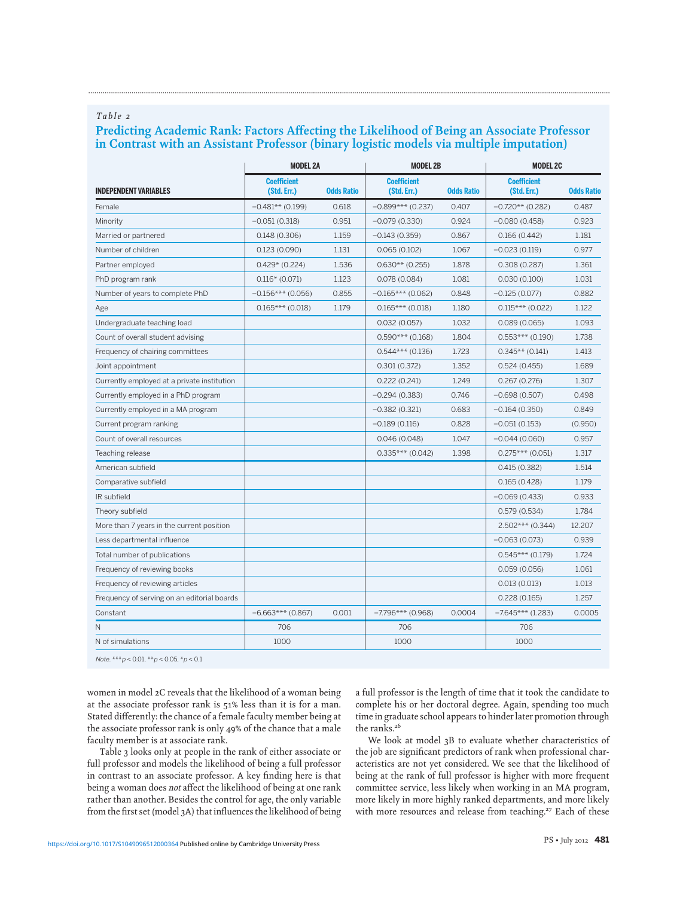### *Table 2*

# **Predicting Academic Rank: Factors Affecting the Likelihood of Being an Associate Professor in Contrast with an Assistant Professor (binary logistic models via multiple imputation)**

**.............................................................................................................................................................................................................................................................**

|                                             | <b>MODEL 2A</b>                   |                   |                                   | <b>MODEL 2B</b><br><b>MODEL 2C</b> |                                   |                   |
|---------------------------------------------|-----------------------------------|-------------------|-----------------------------------|------------------------------------|-----------------------------------|-------------------|
| <b>INDEPENDENT VARIABLES</b>                | <b>Coefficient</b><br>(Std. Err.) | <b>Odds Ratio</b> | <b>Coefficient</b><br>(Std. Err.) | <b>Odds Ratio</b>                  | <b>Coefficient</b><br>(Std. Err.) | <b>Odds Ratio</b> |
| Female                                      | $-0.481**$ (0.199)                | 0.618             | $-0.899***$ (0.237)               | 0.407                              | $-0.720**$ (0.282)                | 0.487             |
| Minority                                    | $-0.051(0.318)$                   | 0.951             | $-0.079(0.330)$                   | 0.924                              | $-0.080(0.458)$                   | 0.923             |
| Married or partnered                        | 0.148(0.306)                      | 1.159             | $-0.143(0.359)$                   | 0.867                              | 0.166(0.442)                      | 1.181             |
| Number of children                          | 0.123(0.090)                      | 1.131             | 0.065(0.102)                      | 1.067                              | $-0.023(0.119)$                   | 0.977             |
| Partner employed                            | $0.429*(0.224)$                   | 1.536             | $0.630**$ (0.255)                 | 1.878                              | 0.308(0.287)                      | 1.361             |
| PhD program rank                            | $0.116*(0.071)$                   | 1.123             | 0.078(0.084)                      | 1.081                              | 0.030(0.100)                      | 1.031             |
| Number of years to complete PhD             | $-0.156***$ (0.056)               | 0.855             | $-0.165***$ (0.062)               | 0.848                              | $-0.125(0.077)$                   | 0.882             |
| Age                                         | $0.165***(0.018)$                 | 1.179             | $0.165***$ (0.018)                | 1.180                              | $0.115***$ (0.022)                | 1.122             |
| Undergraduate teaching load                 |                                   |                   | 0.032(0.057)                      | 1.032                              | 0.089(0.065)                      | 1.093             |
| Count of overall student advising           |                                   |                   | $0.590***$ (0.168)                | 1.804                              | $0.553***$ (0.190)                | 1.738             |
| Frequency of chairing committees            |                                   |                   | $0.544***$ (0.136)                | 1.723                              | $0.345**$ (0.141)                 | 1.413             |
| Joint appointment                           |                                   |                   | 0.301(0.372)                      | 1.352                              | 0.524(0.455)                      | 1.689             |
| Currently employed at a private institution |                                   |                   | 0.222(0.241)                      | 1.249                              | 0.267(0.276)                      | 1.307             |
| Currently employed in a PhD program         |                                   |                   | $-0.294(0.383)$                   | 0.746                              | $-0.698(0.507)$                   | 0.498             |
| Currently employed in a MA program          |                                   |                   | $-0.382(0.321)$                   | 0.683                              | $-0.164(0.350)$                   | 0.849             |
| Current program ranking                     |                                   |                   | $-0.189(0.116)$                   | 0.828                              | $-0.051(0.153)$                   | (0.950)           |
| Count of overall resources                  |                                   |                   | 0.046(0.048)                      | 1.047                              | $-0.044(0.060)$                   | 0.957             |
| Teaching release                            |                                   |                   | $0.335***$ (0.042)                | 1.398                              | $0.275***$ (0.051)                | 1.317             |
| American subfield                           |                                   |                   |                                   |                                    | 0.415(0.382)                      | 1.514             |
| Comparative subfield                        |                                   |                   |                                   |                                    | 0.165(0.428)                      | 1.179             |
| IR subfield                                 |                                   |                   |                                   |                                    | $-0.069(0.433)$                   | 0.933             |
| Theory subfield                             |                                   |                   |                                   |                                    | 0.579(0.534)                      | 1.784             |
| More than 7 years in the current position   |                                   |                   |                                   |                                    | $2.502***$ (0.344)                | 12.207            |
| Less departmental influence                 |                                   |                   |                                   |                                    | $-0.063(0.073)$                   | 0.939             |
| Total number of publications                |                                   |                   |                                   |                                    | $0.545***$ (0.179)                | 1.724             |
| Frequency of reviewing books                |                                   |                   |                                   |                                    | 0.059(0.056)                      | 1.061             |
| Frequency of reviewing articles             |                                   |                   |                                   |                                    | 0.013(0.013)                      | 1.013             |
| Frequency of serving on an editorial boards |                                   |                   |                                   |                                    | 0.228(0.165)                      | 1.257             |
| Constant                                    | $-6.663***$ (0.867)               | 0.001             | $-7.796***$ (0.968)               | 0.0004                             | $-7.645***$ (1.283)               | 0.0005            |
| N                                           | 706                               |                   | 706                               |                                    | 706                               |                   |
| N of simulations                            | 1000                              |                   | 1000                              |                                    | 1000                              |                   |

Note. \*\*\*  $p$  < 0.01, \*\*  $p$  < 0.05, \*  $p$  < 0.1

women in model 2C reveals that the likelihood of a woman being at the associate professor rank is 51% less than it is for a man. Stated differently: the chance of a female faculty member being at the associate professor rank is only 49% of the chance that a male faculty member is at associate rank.

Table 3 looks only at people in the rank of either associate or full professor and models the likelihood of being a full professor in contrast to an associate professor. A key finding here is that being a woman does *not* affect the likelihood of being at one rank rather than another. Besides the control for age, the only variable from the first set (model 3A) that influences the likelihood of being a full professor is the length of time that it took the candidate to complete his or her doctoral degree. Again, spending too much time in graduate school appears to hinder later promotion through the ranks.<sup>26</sup>

We look at model 3B to evaluate whether characteristics of the job are significant predictors of rank when professional characteristics are not yet considered. We see that the likelihood of being at the rank of full professor is higher with more frequent committee service, less likely when working in an MA program, more likely in more highly ranked departments, and more likely with more resources and release from teaching.<sup>27</sup> Each of these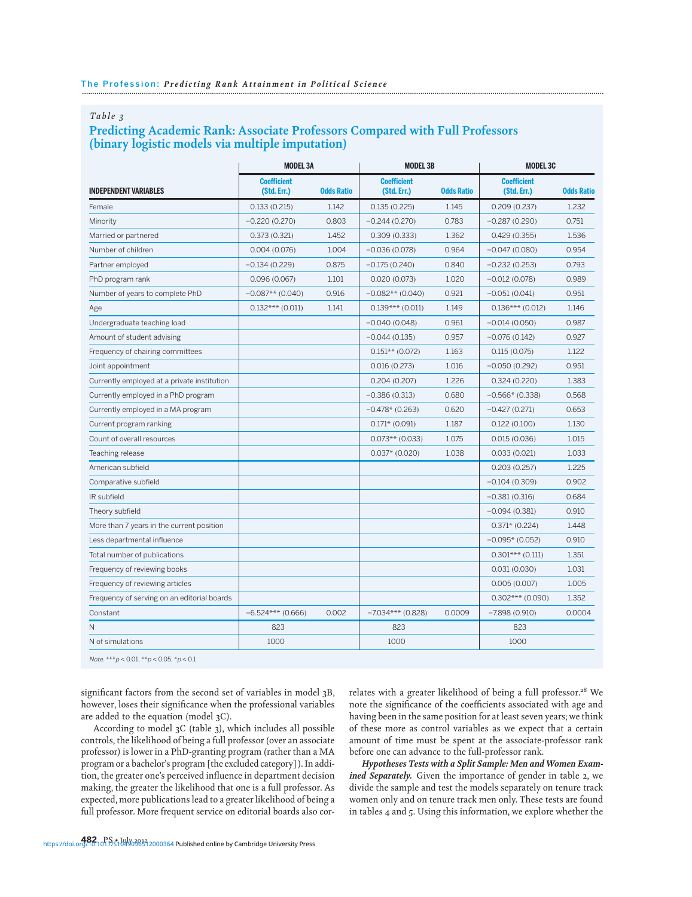### *Table 3*

### **Predicting Academic Rank: Associate Professors Compared with Full Professors (binary logistic models via multiple imputation)**

|                                             | <b>MODEL 3A</b>                   |                   |                                   | <b>MODEL 3B</b><br><b>MODEL 3C</b> |                                   |                   |  |
|---------------------------------------------|-----------------------------------|-------------------|-----------------------------------|------------------------------------|-----------------------------------|-------------------|--|
| <b>INDEPENDENT VARIABLES</b>                | <b>Coefficient</b><br>(Std. Err.) | <b>Odds Ratio</b> | <b>Coefficient</b><br>(Std. Err.) | <b>Odds Ratio</b>                  | <b>Coefficient</b><br>(Std. Err.) | <b>Odds Ratio</b> |  |
| Female                                      | 0.133(0.215)                      | 1.142             | 0.135(0.225)                      | 1.145                              | 0.209(0.237)                      | 1.232             |  |
| Minority                                    | $-0.220(0.270)$                   | 0.803             | $-0.244(0.270)$                   | 0.783                              | $-0.287(0.290)$                   | 0.751             |  |
| Married or partnered                        | 0.373(0.321)                      | 1.452             | 0.309(0.333)                      | 1.362                              | 0.429(0.355)                      | 1.536             |  |
| Number of children                          | 0.004(0.076)                      | 1.004             | 0.964<br>$-0.036(0.078)$          |                                    | $-0.047(0.080)$                   | 0.954             |  |
| Partner employed                            | $-0.134(0.229)$                   | 0.875             | $-0.175(0.240)$                   | 0.840                              | $-0.232(0.253)$                   | 0.793             |  |
| PhD program rank                            | 0.096(0.067)                      | 1.101             | 0.020(0.073)                      | 1.020                              | $-0.012(0.078)$                   | 0.989             |  |
| Number of years to complete PhD             | $-0.087**$ (0.040)                | 0.916             | $-0.082**$ (0.040)                | 0.921                              | $-0.051(0.041)$                   | 0.951             |  |
| Age                                         | $0.132***$ (0.011)                | 1.141             | $0.139***$ (0.011)                | 1.149                              | $0.136***$ (0.012)                | 1.146             |  |
| Undergraduate teaching load                 |                                   |                   | $-0.040(0.048)$                   | 0.961                              | $-0.014(0.050)$                   | 0.987             |  |
| Amount of student advising                  |                                   |                   | $-0.044(0.135)$                   | 0.957                              | $-0.076(0.142)$                   | 0.927             |  |
| Frequency of chairing committees            |                                   |                   | $0.151**$ (0.072)                 | 1.163                              | 0.115(0.075)                      | 1.122             |  |
| Joint appointment                           |                                   |                   | 0.016(0.273)                      | 1.016                              | $-0.050(0.292)$                   | 0.951             |  |
| Currently employed at a private institution |                                   |                   | 0.204(0.207)                      | 1.226                              | 0.324(0.220)                      | 1.383             |  |
| Currently employed in a PhD program         |                                   |                   | $-0.386(0.313)$                   | 0.680                              | $-0.566*$ (0.338)                 | 0.568             |  |
| Currently employed in a MA program          |                                   |                   | $-0.478*(0.263)$                  | 0.620                              | $-0.427(0.271)$                   | 0.653             |  |
| Current program ranking                     |                                   |                   | $0.171*$ (0.091)                  | 1.187                              | 0.122(0.100)                      | 1.130             |  |
| Count of overall resources                  |                                   |                   | $0.073**$ (0.033)                 | 1.075                              | 0.015(0.036)                      | 1.015             |  |
| Teaching release                            |                                   |                   | $0.037*$ (0.020)                  | 1.038                              | 0.033(0.021)                      | 1.033             |  |
| American subfield                           |                                   |                   |                                   |                                    | 0.203(0.257)                      | 1.225             |  |
| Comparative subfield                        |                                   |                   |                                   |                                    | $-0.104(0.309)$                   | 0.902             |  |
| IR subfield                                 |                                   |                   |                                   |                                    | $-0.381(0.316)$                   | 0.684             |  |
| Theory subfield                             |                                   |                   |                                   |                                    | $-0.094(0.381)$                   | 0.910             |  |
| More than 7 years in the current position   |                                   |                   |                                   |                                    | $0.371*$ $(0.224)$                | 1.448             |  |
| Less departmental influence                 |                                   |                   |                                   |                                    | $-0.095*(0.052)$                  | 0.910             |  |
| Total number of publications                |                                   |                   |                                   |                                    | $0.301***$ (0.111)                | 1.351             |  |
| Frequency of reviewing books                |                                   |                   |                                   |                                    | 0.031(0.030)                      | 1.031             |  |
| Frequency of reviewing articles             |                                   |                   |                                   |                                    | 0.005(0.007)                      | 1.005             |  |
| Frequency of serving on an editorial boards |                                   |                   |                                   |                                    | $0.302***$ (0.090)                | 1.352             |  |
| Constant                                    | $-6.524***$ (0.666)               | 0.002             | $-7.034***$ (0.828)               | 0.0009                             | $-7.898(0.910)$                   | 0.0004            |  |
| N                                           | 823                               |                   | 823                               |                                    | 823                               |                   |  |
| N of simulations                            | 1000                              |                   | 1000                              |                                    | 1000                              |                   |  |

Note. \*\*\*  $p < 0.01$ , \*\*  $p < 0.05$ , \*  $p < 0.1$ 

significant factors from the second set of variables in model 3B, however, loses their significance when the professional variables are added to the equation (model 3C).

According to model 3C (table 3), which includes all possible controls, the likelihood of being a full professor (over an associate professor) is lower in a PhD-granting program (rather than a MA program or a bachelor's program [the excluded category] ). In addition, the greater one's perceived influence in department decision making, the greater the likelihood that one is a full professor. As expected, more publications lead to a greater likelihood of being a full professor. More frequent service on editorial boards also cor-

relates with a greater likelihood of being a full professor.<sup>28</sup> We note the significance of the coefficients associated with age and having been in the same position for at least seven years; we think of these more as control variables as we expect that a certain amount of time must be spent at the associate-professor rank before one can advance to the full-professor rank.

Hypotheses Tests with a Split Sample: Men and Women Exam*ined Separately.* Given the importance of gender in table 2, we divide the sample and test the models separately on tenure track women only and on tenure track men only. These tests are found in tables 4 and 5. Using this information, we explore whether the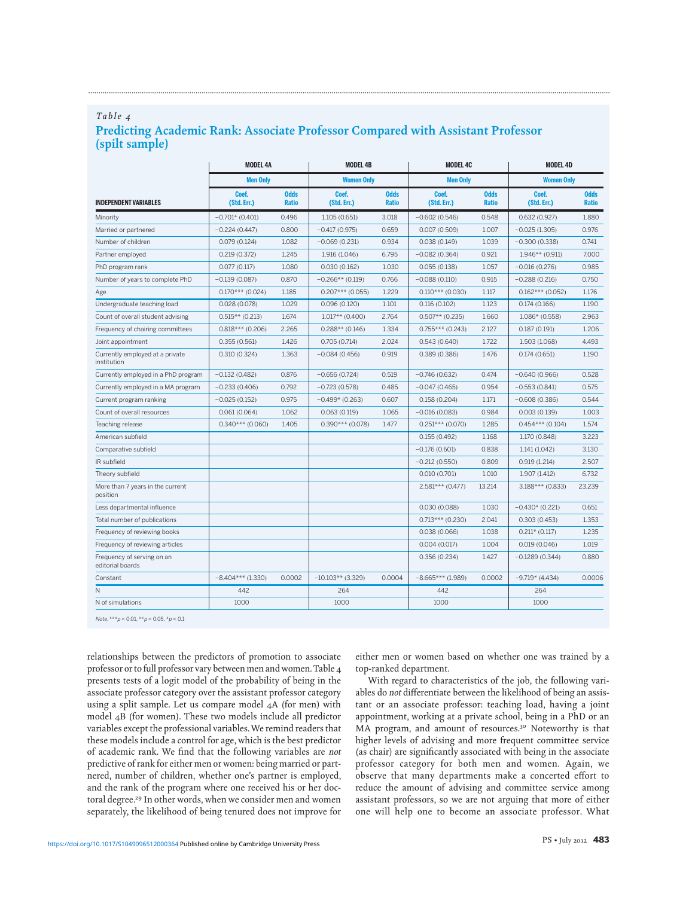# *Table 4* **Predicting Academic Rank: Associate Professor Compared with Assistant Professor (spilt sample)**

**.............................................................................................................................................................................................................................................................**

|                                                | <b>MODEL 4A</b>      |                             | <b>MODEL 4B</b>      | <b>MODEL 4C</b>             |                      |                             | <b>MODEL 4D</b>      |                             |
|------------------------------------------------|----------------------|-----------------------------|----------------------|-----------------------------|----------------------|-----------------------------|----------------------|-----------------------------|
|                                                | <b>Men Only</b>      |                             | <b>Women Only</b>    |                             | <b>Men Only</b>      |                             | <b>Women Only</b>    |                             |
| <b>INDEPENDENT VARIABLES</b>                   | Coef.<br>(Std. Err.) | <b>Odds</b><br><b>Ratio</b> | Coef.<br>(Std. Err.) | <b>Odds</b><br><b>Ratio</b> | Coef.<br>(Std. Err.) | <b>Odds</b><br><b>Ratio</b> | Coef.<br>(Std. Err.) | <b>Odds</b><br><b>Ratio</b> |
| Minority                                       | $-0.701*$ (0.401)    | 0.496                       | 1.105(0.651)         | 3.018                       | $-0.602(0.546)$      | 0.548                       | 0.632(0.927)         | 1.880                       |
| Married or partnered                           | $-0.224(0.447)$      | 0.800                       | $-0.417(0.975)$      | 0.659                       | 0.007(0.509)         | 1.007                       | $-0.025(1.305)$      | 0.976                       |
| Number of children                             | 0.079(0.124)         | 1.082                       | $-0.069(0.231)$      | 0.934                       | 0.038(0.149)         | 1.039                       | $-0.300(0.338)$      | 0.741                       |
| Partner employed                               | 0.219(0.372)         | 1.245                       | 1.916 (1.046)        | 6.795                       | $-0.082(0.364)$      | 0.921                       | $1.946**$ (0.911)    | 7.000                       |
| PhD program rank                               | 0.077(0.117)         | 1.080                       | 0.030(0.162)         | 1.030                       | 0.055(0.138)         | 1.057                       | $-0.016(0.276)$      | 0.985                       |
| Number of years to complete PhD                | $-0.139(0.087)$      | 0.870                       | $-0.266**$ (0.119)   | 0.766                       | $-0.088(0.110)$      | 0.915                       | $-0.288(0.216)$      | 0.750                       |
| Age                                            | $0.170***$ (0.024)   | 1.185                       | $0.207***$ (0.055)   | 1.229                       | $0.110***$ (0.030)   | 1.117                       | $0.162***$ (0.052)   | 1.176                       |
| Undergraduate teaching load                    | 0.028(0.078)         | 1.029                       | 0.096(0.120)         | 1.101                       | 0.116(0.102)         | 1.123                       | 0.174(0.166)         | 1.190                       |
| Count of overall student advising              | $0.515**$ (0.213)    | 1.674                       | $1.017**$ (0.400)    | 2.764                       | $0.507**$ (0.235)    | 1.660                       | $1.086*(0.558)$      | 2.963                       |
| Frequency of chairing committees               | $0.818***$ (0.206)   | 2.265                       | $0.288**$ (0.146)    | 1.334                       | $0.755***$ (0.243)   | 2.127                       | 0.187(0.191)         | 1.206                       |
| Joint appointment                              | 0.355(0.561)         | 1.426                       | 0.705(0.714)         | 2.024                       | 0.543(0.640)         | 1.722                       | 1.503 (1.068)        | 4.493                       |
| Currently employed at a private<br>institution | 0.310(0.324)         | 1.363                       | $-0.084(0.456)$      | 0.919                       | 0.389(0.386)         | 1.476                       | 0.174(0.651)         | 1.190                       |
| Currently employed in a PhD program            | $-0.132(0.482)$      | 0.876                       | $-0.656(0.724)$      | 0.519                       | $-0.746(0.632)$      | 0.474                       | $-0.640(0.966)$      | 0.528                       |
| Currently employed in a MA program             | $-0.233(0.406)$      | 0.792                       | $-0.723(0.578)$      | 0.485                       | $-0.047(0.465)$      | 0.954                       | $-0.553(0.841)$      | 0.575                       |
| Current program ranking                        | $-0.025(0.152)$      | 0.975                       | $-0.499*(0.263)$     | 0.607                       | 0.158(0.204)         | 1.171                       | $-0.608(0.386)$      | 0.544                       |
| Count of overall resources                     | 0.061(0.064)         | 1.062                       | 0.063(0.119)         | 1.065                       | $-0.016(0.083)$      | 0.984                       | 0.003(0.139)         | 1.003                       |
| Teaching release                               | $0.340***$ (0.060)   | 1.405                       | $0.390***$ (0.078)   | 1.477                       | $0.251***$ (0.070)   | 1.285                       | $0.454***$ (0.104)   | 1.574                       |
| American subfield                              |                      |                             |                      |                             | 0.155(0.492)         | 1.168                       | 1.170 (0.848)        | 3.223                       |
| Comparative subfield                           |                      |                             |                      |                             | $-0.176(0.601)$      | 0.838                       | 1.141(1.042)         | 3.130                       |
| IR subfield                                    |                      |                             |                      |                             | $-0.212(0.550)$      | 0.809                       | 0.919(1.214)         | 2.507                       |
| Theory subfield                                |                      |                             |                      |                             | 0.010(0.701)         | 1.010                       | 1.907(1.412)         | 6.732                       |
| More than 7 years in the current<br>position   |                      |                             |                      |                             | $2.581***$ (0.477)   | 13.214                      | $3.188***$ (0.833)   | 23.239                      |
| Less departmental influence                    |                      |                             |                      |                             | 0.030(0.088)         | 1.030                       | $-0.430*(0.221)$     | 0.651                       |
| Total number of publications                   |                      |                             |                      |                             | $0.713***$ (0.230)   | 2.041                       | 0.303(0.453)         | 1.353                       |
| Frequency of reviewing books                   |                      |                             |                      |                             | 0.038(0.066)         | 1.038                       | $0.211*(0.117)$      | 1.235                       |
| Frequency of reviewing articles                |                      |                             |                      |                             | 0.004(0.017)         | 1.004                       | 0.019(0.046)         | 1.019                       |
| Frequency of serving on an<br>editorial boards |                      |                             |                      |                             | 0.356(0.234)         | 1.427                       | $-0.1289(0.344)$     | 0.880                       |
| Constant                                       | $-8.404***$ (1.330)  | 0.0002                      | $-10.103**$ (3.329)  | 0.0004                      | $-8.665***$ (1.989)  | 0.0002                      | $-9.719*(4.434)$     | 0.0006                      |
| N                                              | 442                  |                             | 264                  |                             | 442                  |                             | 264                  |                             |
| N of simulations                               | 1000                 |                             | 1000                 |                             | 1000                 |                             | 1000                 |                             |

Note.  $***p < 0.01, **p < 0.05, *p < 0.1$ 

relationships between the predictors of promotion to associate professor or to full professor vary between men and women.Table 4 presents tests of a logit model of the probability of being in the associate professor category over the assistant professor category using a split sample. Let us compare model 4A (for men) with model 4B (for women). These two models include all predictor variables except the professional variables.We remind readers that these models include a control for age, which is the best predictor of academic rank. We find that the following variables are *not* predictive of rank for either men or women: being married or partnered, number of children, whether one's partner is employed, and the rank of the program where one received his or her doctoral degree.<sup>29</sup> In other words, when we consider men and women separately, the likelihood of being tenured does not improve for

either men or women based on whether one was trained by a top-ranked department.

With regard to characteristics of the job, the following variables do *not* differentiate between the likelihood of being an assistant or an associate professor: teaching load, having a joint appointment, working at a private school, being in a PhD or an MA program, and amount of resources.<sup>30</sup> Noteworthy is that higher levels of advising and more frequent committee service (as chair) are significantly associated with being in the associate professor category for both men and women. Again, we observe that many departments make a concerted effort to reduce the amount of advising and committee service among assistant professors, so we are not arguing that more of either one will help one to become an associate professor. What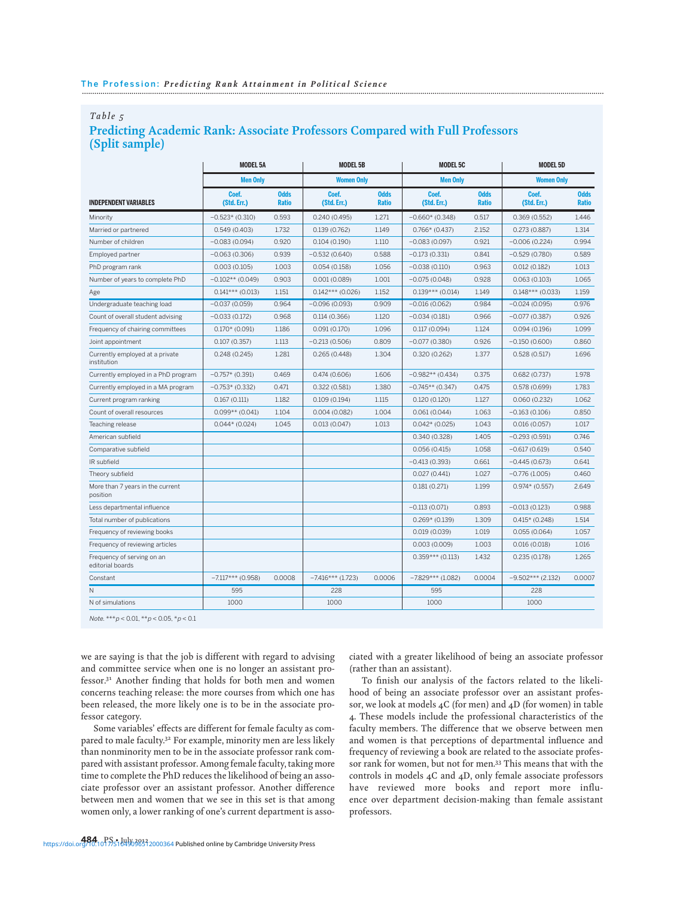# *Table 5* **Predicting Academic Rank: Associate Professors Compared with Full Professors (Split sample)**

|                                                | <b>MODEL 5A</b>      |                             | <b>MODEL 5B</b>      |                             | <b>MODEL 5C</b><br><b>MODEL 5D</b> |                             |                      |                             |
|------------------------------------------------|----------------------|-----------------------------|----------------------|-----------------------------|------------------------------------|-----------------------------|----------------------|-----------------------------|
|                                                | <b>Men Only</b>      |                             | <b>Women Only</b>    |                             | <b>Men Only</b>                    | <b>Women Only</b>           |                      |                             |
| <b>INDEPENDENT VARIABLES</b>                   | Coef.<br>(Std. Err.) | <b>Odds</b><br><b>Ratio</b> | Coef.<br>(Std. Err.) | <b>Odds</b><br><b>Ratio</b> | Coef.<br>(Std. Err.)               | <b>Odds</b><br><b>Ratio</b> | Coef.<br>(Std. Err.) | <b>Odds</b><br><b>Ratio</b> |
| Minority                                       | $-0.523*(0.310)$     | 0.593                       | 0.240(0.495)         | 1.271                       | $-0.660*(0.348)$                   | 0.517                       | 0.369(0.552)         | 1.446                       |
| Married or partnered                           | 0.549(0.403)         | 1.732                       | 0.139(0.762)         | 1.149                       | $0.766*$ (0.437)                   | 2.152                       | 0.273(0.887)         | 1.314                       |
| Number of children                             | $-0.083(0.094)$      | 0.920                       | 0.104(0.190)         | 1.110                       | $-0.083(0.097)$                    | 0.921                       | $-0.006(0.224)$      | 0.994                       |
| Employed partner                               | $-0.063(0.306)$      | 0.939                       | $-0.532(0.640)$      | 0.588                       | $-0.173(0.331)$                    | 0.841                       | $-0.529(0.780)$      | 0.589                       |
| PhD program rank                               | 0.003(0.105)         | 1.003                       | 0.054(0.158)         | 1.056                       | $-0.038(0.110)$                    | 0.963                       | 0.012(0.182)         | 1.013                       |
| Number of years to complete PhD                | $-0.102**$ (0.049)   | 0.903                       | 0.001(0.089)         | 1.001                       | $-0.075(0.048)$                    | 0.928                       | 0.063(0.103)         | 1.065                       |
| Age                                            | $0.141***$ (0.013)   | 1.151                       | $0.142***$ (0.026)   | 1.152                       | $0.139***$ (0.014)                 | 1.149                       | $0.148***$ (0.033)   | 1.159                       |
| Undergraduate teaching load                    | $-0.037(0.059)$      | 0.964                       | $-0.096(0.093)$      | 0.909                       | $-0.016(0.062)$                    | 0.984                       | $-0.024(0.095)$      | 0.976                       |
| Count of overall student advising              | $-0.033(0.172)$      | 0.968                       | 0.114(0.366)         | 1.120                       | $-0.034(0.181)$                    | 0.966                       | $-0.077(0.387)$      | 0.926                       |
| Frequency of chairing committees               | $0.170*(0.091)$      | 1.186                       | 0.091(0.170)         | 1.096                       | 0.117(0.094)                       | 1.124                       | 0.094(0.196)         | 1.099                       |
| Joint appointment                              | 0.107(0.357)         | 1.113                       | $-0.213(0.506)$      | 0.809                       | $-0.077(0.380)$                    | 0.926                       | $-0.150(0.600)$      | 0.860                       |
| Currently employed at a private<br>institution | 0.248(0.245)         | 1.281                       | 0.265(0.448)         | 1.304                       | 0.320(0.262)                       | 1.377                       | 0.528(0.517)         | 1.696                       |
| Currently employed in a PhD program            | $-0.757*$ (0.391)    | 0.469                       | 0.474(0.606)         | 1.606                       | $-0.982**$ (0.434)                 | 0.375                       | 0.682(0.737)         | 1.978                       |
| Currently employed in a MA program             | $-0.753*(0.332)$     | 0.471                       | 0.322(0.581)         | 1.380                       | $-0.745**$ (0.347)                 | 0.475                       | 0.578(0.699)         | 1.783                       |
| Current program ranking                        | 0.167(0.111)         | 1.182                       | 0.109(0.194)         | 1.115                       | 0.120(0.120)                       | 1.127                       | 0.060(0.232)         | 1.062                       |
| Count of overall resources                     | $0.099**$ (0.041)    | 1.104                       | 0.004(0.082)         | 1.004                       | 0.061(0.044)                       | 1.063                       | $-0.163(0.106)$      | 0.850                       |
| Teaching release                               | $0.044*$ (0.024)     | 1.045                       | 0.013(0.047)         | 1.013                       | $0.042*$ (0.025)                   | 1.043                       | 0.016(0.057)         | 1.017                       |
| American subfield                              |                      |                             |                      |                             | 0.340(0.328)                       | 1.405                       | $-0.293(0.591)$      | 0.746                       |
| Comparative subfield                           |                      |                             |                      |                             | 0.056(0.415)                       | 1.058                       | $-0.617(0.619)$      | 0.540                       |
| IR subfield                                    |                      |                             |                      |                             | $-0.413(0.393)$                    | 0.661                       | $-0.445(0.673)$      | 0.641                       |
| Theory subfield                                |                      |                             |                      |                             | 0.027(0.441)                       | 1.027                       | $-0.776(1.005)$      | 0.460                       |
| More than 7 years in the current<br>position   |                      |                             |                      |                             | 0.181(0.271)                       | 1.199                       | $0.974*$ (0.557)     | 2.649                       |
| Less departmental influence                    |                      |                             |                      |                             | $-0.113(0.071)$                    | 0.893                       | $-0.013(0.123)$      | 0.988                       |
| Total number of publications                   |                      |                             |                      |                             | $0.269*$ (0.139)                   | 1.309                       | $0.415*(0.248)$      | 1.514                       |
| Frequency of reviewing books                   |                      |                             |                      |                             | 0.019(0.039)                       | 1.019                       | 0.055(0.064)         | 1.057                       |
| Frequency of reviewing articles                |                      |                             |                      |                             | 0.003(0.009)                       | 1.003                       | 0.016(0.018)         | 1.016                       |
| Frequency of serving on an<br>editorial boards |                      |                             |                      |                             | $0.359***$ (0.113)                 | 1.432                       | 0.235(0.178)         | 1.265                       |
| Constant                                       | $-7.117***$ (0.958)  | 0.0008                      | $-7.416***$ (1.723)  | 0.0006                      | $-7.829***$ (1.082)                | 0.0004                      | $-9.502***$ (2.132)  | 0.0007                      |
| N                                              | 595                  |                             | 228                  |                             | 595                                |                             | 228                  |                             |
| N of simulations                               | 1000                 |                             | 1000                 |                             | 1000                               |                             | 1000                 |                             |

Note. \*\*\*  $p < 0.01$ , \*\*  $p < 0.05$ , \*  $p < 0.1$ 

we are saying is that the job is different with regard to advising and committee service when one is no longer an assistant professor.31 Another finding that holds for both men and women concerns teaching release: the more courses from which one has been released, the more likely one is to be in the associate professor category.

Some variables' effects are different for female faculty as compared to male faculty.32 For example, minority men are less likely than nonminority men to be in the associate professor rank compared with assistant professor. Among female faculty, taking more time to complete the PhD reduces the likelihood of being an associate professor over an assistant professor. Another difference between men and women that we see in this set is that among women only, a lower ranking of one's current department is associated with a greater likelihood of being an associate professor (rather than an assistant).

To finish our analysis of the factors related to the likelihood of being an associate professor over an assistant professor, we look at models 4C (for men) and 4D (for women) in table 4. These models include the professional characteristics of the faculty members. The difference that we observe between men and women is that perceptions of departmental influence and frequency of reviewing a book are related to the associate professor rank for women, but not for men.33 This means that with the controls in models 4C and 4D, only female associate professors have reviewed more books and report more influence over department decision-making than female assistant professors.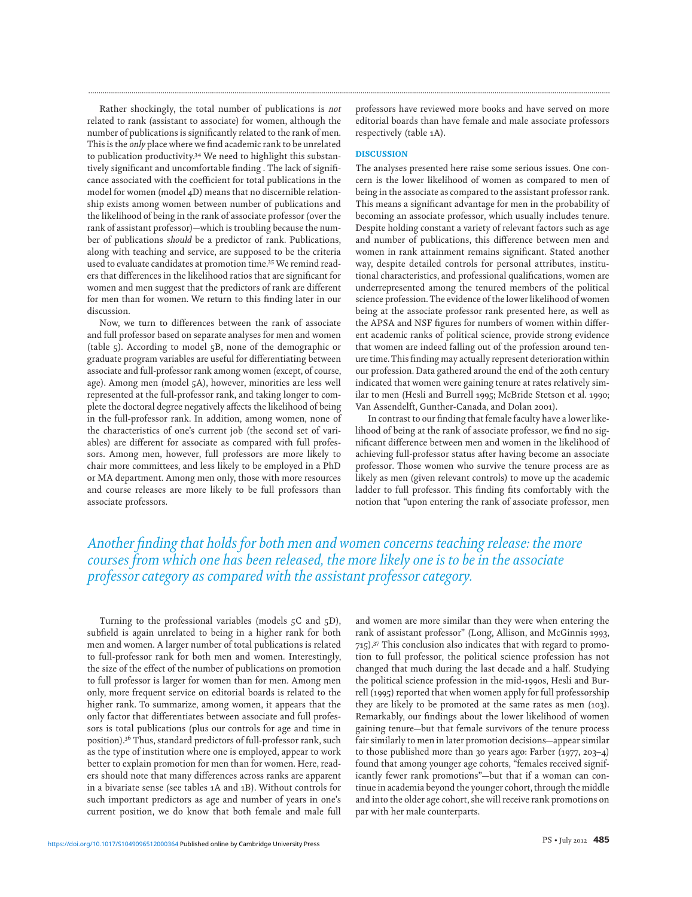Rather shockingly, the total number of publications is *not* related to rank (assistant to associate) for women, although the number of publications is significantly related to the rank of men. This is the *only* place where we find academic rank to be unrelated to publication productivity.34 We need to highlight this substantively significant and uncomfortable finding . The lack of significance associated with the coefficient for total publications in the model for women (model 4D) means that no discernible relationship exists among women between number of publications and the likelihood of being in the rank of associate professor (over the rank of assistant professor)—which is troubling because the number of publications *should* be a predictor of rank. Publications, along with teaching and service, are supposed to be the criteria used to evaluate candidates at promotion time.<sup>35</sup> We remind readers that differences in the likelihood ratios that are significant for women and men suggest that the predictors of rank are different for men than for women. We return to this finding later in our discussion.

Now, we turn to differences between the rank of associate and full professor based on separate analyses for men and women (table 5). According to model 5B, none of the demographic or graduate program variables are useful for differentiating between associate and full-professor rank among women (except, of course, age). Among men (model 5A), however, minorities are less well represented at the full-professor rank, and taking longer to complete the doctoral degree negatively affects the likelihood of being in the full-professor rank. In addition, among women, none of the characteristics of one's current job (the second set of variables) are different for associate as compared with full professors. Among men, however, full professors are more likely to chair more committees, and less likely to be employed in a PhD or MA department. Among men only, those with more resources and course releases are more likely to be full professors than associate professors.

professors have reviewed more books and have served on more editorial boards than have female and male associate professors respectively (table 1A).

### DISCUSSION

**.............................................................................................................................................................................................................................................................**

The analyses presented here raise some serious issues. One concern is the lower likelihood of women as compared to men of being in the associate as compared to the assistant professor rank. This means a significant advantage for men in the probability of becoming an associate professor, which usually includes tenure. Despite holding constant a variety of relevant factors such as age and number of publications, this difference between men and women in rank attainment remains significant. Stated another way, despite detailed controls for personal attributes, institutional characteristics, and professional qualifications, women are underrepresented among the tenured members of the political science profession. The evidence of the lower likelihood of women being at the associate professor rank presented here, as well as the APSA and NSF figures for numbers of women within different academic ranks of political science, provide strong evidence that women are indeed falling out of the profession around tenure time. This finding may actually represent deterioration within our profession. Data gathered around the end of the 20th century indicated that women were gaining tenure at rates relatively similar to men (Hesli and Burrell 1995; McBride Stetson et al. 1990; Van Assendelft, Gunther-Canada, and Dolan 2001).

In contrast to our finding that female faculty have a lower likelihood of being at the rank of associate professor, we find no significant difference between men and women in the likelihood of achieving full-professor status after having become an associate professor. Those women who survive the tenure process are as likely as men (given relevant controls) to move up the academic ladder to full professor. This finding fits comfortably with the notion that "upon entering the rank of associate professor, men

# *Another finding that holds for both men and women concerns teaching release: the more courses from which one has been released, the more likely one is to be in the associate professor category as compared with the assistant professor category.*

Turning to the professional variables (models 5C and 5D), subfield is again unrelated to being in a higher rank for both men and women. A larger number of total publications is related to full-professor rank for both men and women. Interestingly, the size of the effect of the number of publications on promotion to full professor is larger for women than for men. Among men only, more frequent service on editorial boards is related to the higher rank. To summarize, among women, it appears that the only factor that differentiates between associate and full professors is total publications (plus our controls for age and time in position).36 Thus, standard predictors of full-professor rank, such as the type of institution where one is employed, appear to work better to explain promotion for men than for women. Here, readers should note that many differences across ranks are apparent in a bivariate sense (see tables 1A and 1B). Without controls for such important predictors as age and number of years in one's current position, we do know that both female and male full and women are more similar than they were when entering the rank of assistant professor" (Long, Allison, and McGinnis 1993, 715).37 This conclusion also indicates that with regard to promotion to full professor, the political science profession has not changed that much during the last decade and a half. Studying the political science profession in the mid-1990s, Hesli and Burrell (1995) reported that when women apply for full professorship they are likely to be promoted at the same rates as men (103). Remarkably, our findings about the lower likelihood of women gaining tenure—but that female survivors of the tenure process fair similarly to men in later promotion decisions—appear similar to those published more than 30 years ago: Farber (1977, 203–4) found that among younger age cohorts, "females received significantly fewer rank promotions"—but that if a woman can continue in academia beyond the younger cohort, through the middle and into the older age cohort, she will receive rank promotions on par with her male counterparts.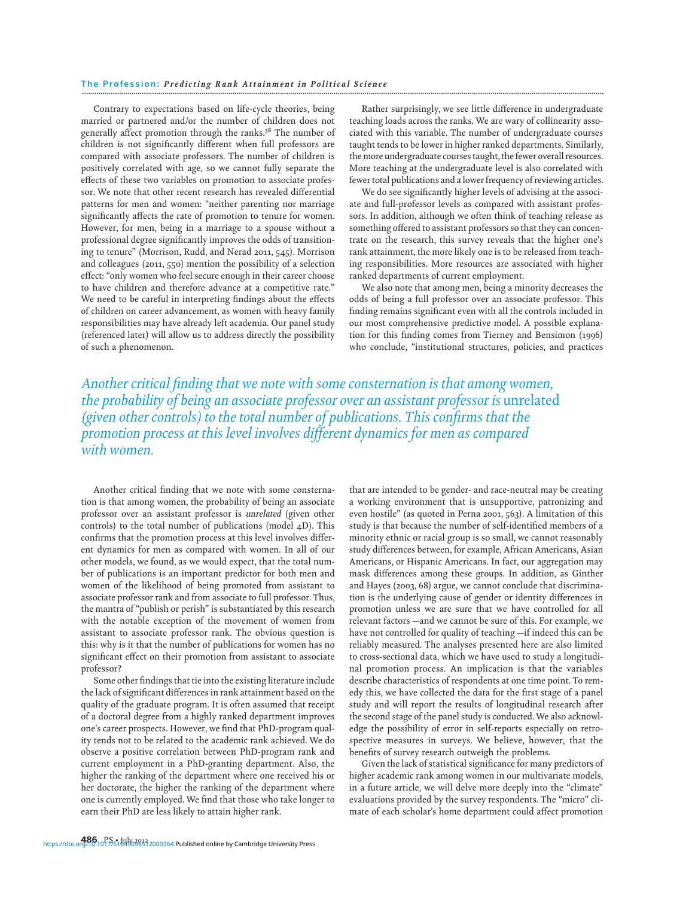Contrary to expectations based on life-cycle theories, being married or partnered and/or the number of children does not generally affect promotion through the ranks.38 The number of children is not significantly different when full professors are compared with associate professors. The number of children is positively correlated with age, so we cannot fully separate the effects of these two variables on promotion to associate professor. We note that other recent research has revealed differential patterns for men and women: "neither parenting nor marriage significantly affects the rate of promotion to tenure for women. However, for men, being in a marriage to a spouse without a professional degree significantly improves the odds of transitioning to tenure" (Morrison, Rudd, and Nerad 2011, 545). Morrison and colleagues (2011, 550) mention the possibility of a selection effect: "only women who feel secure enough in their career choose to have children and therefore advance at a competitive rate." We need to be careful in interpreting findings about the effects of children on career advancement, as women with heavy family responsibilities may have already left academia. Our panel study (referenced later) will allow us to address directly the possibility of such a phenomenon.

Rather surprisingly, we see little difference in undergraduate teaching loads across the ranks. We are wary of collinearity associated with this variable. The number of undergraduate courses taught tends to be lower in higher ranked departments. Similarly, the more undergraduate courses taught, the fewer overall resources. More teaching at the undergraduate level is also correlated with fewer total publications and a lower frequency of reviewing articles.

We do see significantly higher levels of advising at the associate and full-professor levels as compared with assistant professors. In addition, although we often think of teaching release as something offered to assistant professors so that they can concentrate on the research, this survey reveals that the higher one's rank attainment, the more likely one is to be released from teaching responsibilities. More resources are associated with higher ranked departments of current employment.

We also note that among men, being a minority decreases the odds of being a full professor over an associate professor. This finding remains significant even with all the controls included in our most comprehensive predictive model. A possible explanation for this finding comes from Tierney and Bensimon (1996) who conclude, "institutional structures, policies, and practices

*Another critical finding that we note with some consternation is that among women, the probability of being an associate professor over an assistant professor is* unrelated *(given other controls) to the total number of publications. This confirms that the promotion process at this level involves different dynamics for men as compared with women.*

Another critical finding that we note with some consternation is that among women, the probability of being an associate professor over an assistant professor is *unrelated* (given other controls) to the total number of publications (model 4D). This confirms that the promotion process at this level involves different dynamics for men as compared with women. In all of our other models, we found, as we would expect, that the total number of publications is an important predictor for both men and women of the likelihood of being promoted from assistant to associate professor rank and from associate to full professor. Thus, the mantra of "publish or perish" is substantiated by this research with the notable exception of the movement of women from assistant to associate professor rank. The obvious question is this: why is it that the number of publications for women has no significant effect on their promotion from assistant to associate professor?

Some other findings that tie into the existing literature include the lack of significant differences in rank attainment based on the quality of the graduate program. It is often assumed that receipt of a doctoral degree from a highly ranked department improves one's career prospects. However, we find that PhD-program quality tends not to be related to the academic rank achieved. We do observe a positive correlation between PhD-program rank and current employment in a PhD-granting department. Also, the higher the ranking of the department where one received his or her doctorate, the higher the ranking of the department where one is currently employed. We find that those who take longer to earn their PhD are less likely to attain higher rank.

that are intended to be gender- and race-neutral may be creating a working environment that is unsupportive, patronizing and even hostile" (as quoted in Perna 2001, 563). A limitation of this study is that because the number of self-identified members of a minority ethnic or racial group is so small, we cannot reasonably study differences between, for example, African Americans, Asian Americans, or Hispanic Americans. In fact, our aggregation may mask differences among these groups. In addition, as Ginther and Hayes (2003, 68) argue, we cannot conclude that discrimination is the underlying cause of gender or identity differences in promotion unless we are sure that we have controlled for all relevant factors —and we cannot be sure of this. For example, we have not controlled for quality of teaching —if indeed this can be reliably measured. The analyses presented here are also limited to cross-sectional data, which we have used to study a longitudinal promotion process. An implication is that the variables describe characteristics of respondents at one time point. To remedy this, we have collected the data for the first stage of a panel study and will report the results of longitudinal research after the second stage of the panel study is conducted.We also acknowledge the possibility of error in self-reports especially on retrospective measures in surveys. We believe, however, that the benefits of survey research outweigh the problems.

Given the lack of statistical significance for many predictors of higher academic rank among women in our multivariate models, in a future article, we will delve more deeply into the "climate" evaluations provided by the survey respondents. The "micro" climate of each scholar's home department could affect promotion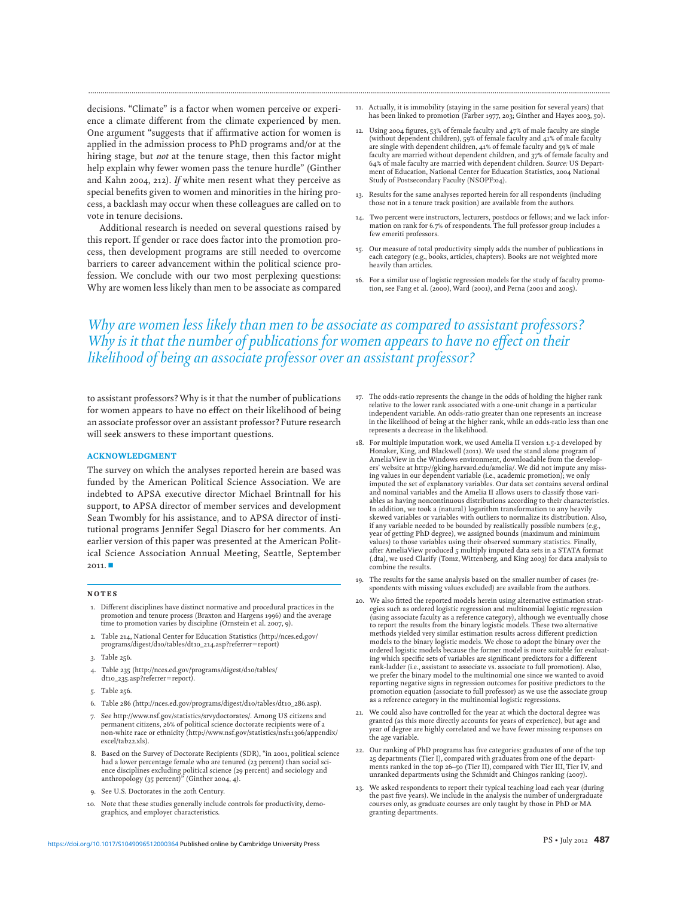decisions. "Climate" is a factor when women perceive or experience a climate different from the climate experienced by men. One argument "suggests that if affirmative action for women is applied in the admission process to PhD programs and/or at the hiring stage, but *not* at the tenure stage, then this factor might help explain why fewer women pass the tenure hurdle" (Ginther and Kahn 2004, 212). *If* white men resent what they perceive as special benefits given to women and minorities in the hiring process, a backlash may occur when these colleagues are called on to vote in tenure decisions.

Additional research is needed on several questions raised by this report. If gender or race does factor into the promotion process, then development programs are still needed to overcome barriers to career advancement within the political science profession. We conclude with our two most perplexing questions: Why are women less likely than men to be associate as compared

- 11. Actually, it is immobility (staying in the same position for several years) that has been linked to promotion (Farber 1977, 203; Ginther and Hayes 2003, 50).
- 12. Using 2004 figures, 53% of female faculty and 47% of male faculty are single (without dependent children), 59% of female faculty and 41% of male faculty are single with dependent children, 41% of female faculty and 59% of male faculty are married without dependent children, and 37% of female faculty and 64% of male faculty are married with dependent children. *Source:* US Department of Education, National Center for Education Statistics, 2004 National Study of Postsecondary Faculty (NSOPF:04).
- 13. Results for the same analyses reported herein for all respondents (including those not in a tenure track position) are available from the authors.
- 14. Two percent were instructors, lecturers, postdocs or fellows; and we lack infor-mation on rank for 6.7% of respondents. The full professor group includes a few emeriti professors.
- 15. Our measure of total productivity simply adds the number of publications in each category (e.g., books, articles, chapters). Books are not weighted more heavily than articles.
- 16. For a similar use of logistic regression models for the study of faculty promotion, see Fang et al. (2000), Ward (2001), and Perna (2001 and 2005).

# *Why are women less likely than men to be associate as compared to assistant professors? Why is it that the number of publications for women appears to have no effect on their likelihood of being an associate professor over an assistant professor?*

**.............................................................................................................................................................................................................................................................**

to assistant professors?Why is it that the number of publications for women appears to have no effect on their likelihood of being an associate professor over an assistant professor? Future research will seek answers to these important questions.

### ACKNOWLEDGMENT

The survey on which the analyses reported herein are based was funded by the American Political Science Association. We are indebted to APSA executive director Michael Brintnall for his support, to APSA director of member services and development Sean Twombly for his assistance, and to APSA director of institutional programs Jennifer Segal Diascro for her comments. An earlier version of this paper was presented at the American Political Science Association Annual Meeting, Seattle, September  $2011.$ 

#### NOTES

- 1. Different disciplines have distinct normative and procedural practices in the promotion and tenure process (Braxton and Hargens 1996) and the average time to promotion varies by discipline (Ornstein et al. 2007, 9).
- 2. Table 214, National Center for Education Statistics (http://nces.ed.gov/ programs/digest/d10/tables/dt10\_214.asp?referrer-report)
- 3. Table 256.
- 4. Table 235 (http://nces.ed.gov/programs/digest/d10/tables/ dt10\_235.asp?referrer-report).
- 5. Table 256.
- 6. Table 286 (http://nces.ed.gov/programs/digest/d10/tables/dt10\_286.asp).
- 7. See http://www.nsf.gov/statistics/srvydoctorates/. Among US citizens and permanent citizens, 26% of political science doctorate recipients were of a non-white race or ethnicity (http://www.nsf.gov/statistics/nsf11306/appendix/ excel/tab22.xls).
- 8. Based on the Survey of Doctorate Recipients (SDR), "in 2001, political science had a lower percentage female who are tenured (23 percent) than social science disciplines excluding political science (29 percent) and sociology and anthropology (35 percent)" (Ginther 2004, 4).
- 9. See U.S. Doctorates in the 20th Century.
- 10. Note that these studies generally include controls for productivity, demographics, and employer characteristics.
- 17. The odds-ratio represents the change in the odds of holding the higher rank relative to the lower rank associated with a one-unit change in a particular independent variable. An odds-ratio greater than one represents an increase in the likelihood of being at the higher rank, while an odds-ratio less than one represents a decrease in the likelihood.
- 18. For multiple imputation work, we used Amelia II version 1.5-2 developed by Honaker, King, and Blackwell (2011). We used the stand alone program of AmeliaView in the Windows environment, downloadable from the developers' website at http://gking.harvard.edu/amelia/. We did not impute any miss-ing values in our dependent variable (i.e., academic promotion); we only imputed the set of explanatory variables. Our data set contains several ordinal and nominal variables and the Amelia II allows users to classify those variables as having noncontinuous distributions according to their characteristics. In addition, we took a (natural) logarithm transformation to any heavily skewed variables or variables with outliers to normalize its distribution. Also, if any variable needed to be bounded by realistically possible numbers (e.g., year of getting PhD degree), we assigned bounds (maximum and minimum values) to those variables using their observed summary statistics. Finally, after AmeliaView produced 5 multiply imputed data sets in a STATA format (.dta), we used Clarify (Tomz, Wittenberg, and King 2003) for data analysis to combine the results.
- 19. The results for the same analysis based on the smaller number of cases (respondents with missing values excluded) are available from the authors.
- 20. We also fitted the reported models herein using alternative estimation strategies such as ordered logistic regression and multinomial logistic regression (using associate faculty as a reference category), although we eventually chose to report the results from the binary logistic models. These two alternative methods yielded very similar estimation results across different prediction models to the binary logistic models. We chose to adopt the binary over the ordered logistic models because the former model is more suitable for evaluating which specific sets of variables are significant predictors for a different rank-ladder (i.e., assistant to associate vs. associate to full promotion). Also, we prefer the binary model to the multinomial one since we wanted to avoid reporting negative signs in regression outcomes for positive predictors to the promotion equation (associate to full professor) as we use the associate group as a reference category in the multinomial logistic regressions.
- 21. We could also have controlled for the year at which the doctoral degree was granted (as this more directly accounts for years of experience), but age and year of degree are highly correlated and we have fewer missing responses on the age variable.
- 22. Our ranking of PhD programs has five categories: graduates of one of the top 25 departments (Tier I), compared with graduates from one of the departments ranked in the top 26–50 (Tier II), compared with Tier III, Tier IV, and unranked departments using the Schmidt and Chingos ranking (2007).
- 23. We asked respondents to report their typical teaching load each year (during the past five years). We include in the analysis the number of undergraduate courses only, as graduate courses are only taught by those in PhD or MA granting departments.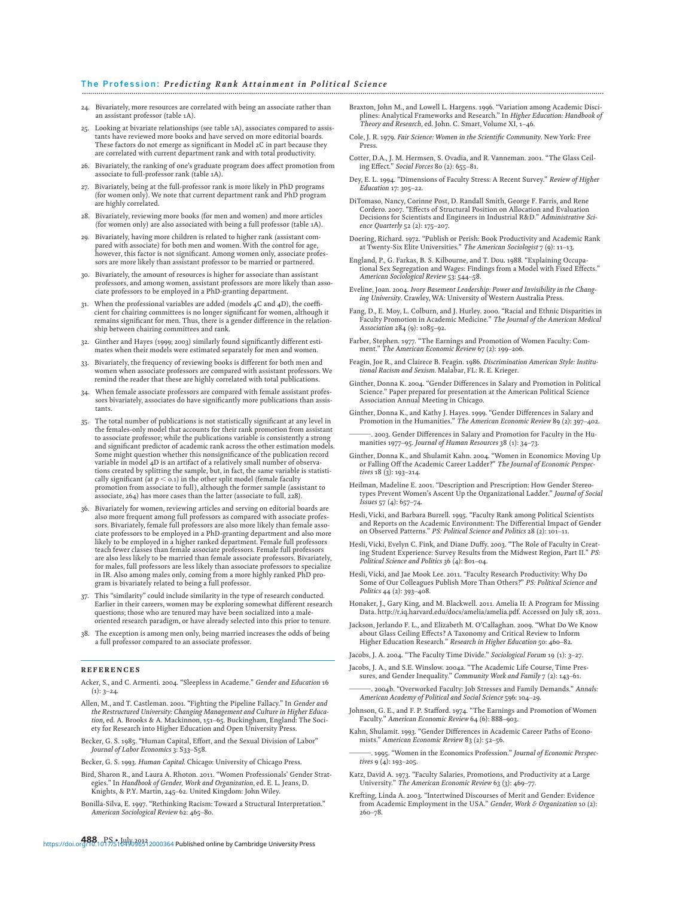- 24. Bivariately, more resources are correlated with being an associate rather than an assistant professor (table 1A).
- 25. Looking at bivariate relationships (see table 1A), associates compared to assistants have reviewed more books and have served on more editorial boards. These factors do not emerge as significant in Model 2C in part because they are correlated with current department rank and with total productivity.
- 26. Bivariately, the ranking of one's graduate program does affect promotion from associate to full-professor rank (table 1A).
- 27. Bivariately, being at the full-professor rank is more likely in PhD programs (for women only). We note that current department rank and PhD program are highly correlated.
- 28. Bivariately, reviewing more books (for men and women) and more articles (for women only) are also associated with being a full professor (table 1A).
- 29. Bivariately, having more children is related to higher rank (assistant compared with associate) for both men and women. With the control for age, however, this factor is not significant. Among women only, associate professors are more likely than assistant professor to be married or partnered.
- 30. Bivariately, the amount of resources is higher for associate than assistant professors, and among women, assistant professors are more likely than associate professors to be employed in a PhD-granting department.
- 31. When the professional variables are added (models 4C and 4D), the coefficient for chairing committees is no longer significant for women, although it remains significant for men. Thus, there is a gender difference in the relationship between chairing committees and rank.
- 32. Ginther and Hayes (1999; 2003) similarly found significantly different estimates when their models were estimated separately for men and women.
- 33. Bivariately, the frequency of reviewing books is different for both men and women when associate professors are compared with assistant professors. We remind the reader that these are highly correlated with total publications.
- 34. When female associate professors are compared with female assistant professors bivariately, associates do have significantly more publications than assistants.
- 35. The total number of publications is not statistically significant at any level in the females-only model that accounts for their rank promotion from assistant to associate professor; while the publications variable is consistently a strong and significant predictor of academic rank across the other estimation models. Some might question whether this nonsignificance of the publication record variable in model 4D is an artifact of a relatively small number of observations created by splitting the sample, but, in fact, the same variable is statistically significant (at  $p <$  0.1) in the other split model (female faculty promotion from associate to full ), although the former sample (assistant to associate, 264) has more cases than the latter (associate to full, 228).
- 36. Bivariately for women, reviewing articles and serving on editorial boards are also more frequent among full professors as compared with associate professors. Bivariately, female full professors are also more likely than female associate professors to be employed in a PhD-granting department and also more likely to be employed in a higher ranked department. Female full professors teach fewer classes than female associate professors. Female full professors are also less likely to be married than female associate professors. Bivariately, for males, full professors are less likely than associate professors to specialize in IR. Also among males only, coming from a more highly ranked PhD pro-gram is bivariately related to being a full professor.
- This "similarity" could include similarity in the type of research conducted. Earlier in their careers, women may be exploring somewhat different research questions; those who are tenured may have been socialized into a maleoriented research paradigm, or have already selected into this prior to tenure.
- 38. The exception is among men only, being married increases the odds of being a full professor compared to an associate professor.

#### REFERENCES

- Acker, S., and C. Armenti. 2004. "Sleepless in Academe." *Gender and Education* 16  $(1): 3-24.$
- Allen, M., and T. Castleman. 2001. "Fighting the Pipeline Fallacy." In *Gender and the Restructured University: Changing Management and Culture in Higher Education*, ed. A. Brooks & A. Mackinnon, 151–65. Buckingham, England: The Society for Research into Higher Education and Open University Press.
- Becker, G. S. 1985. "Human Capital, Effort, and the Sexual Division of Labor" *Journal of Labor Economics* 3: S33–S58.
- Becker, G. S. 1993. *Human Capital*. Chicago: University of Chicago Press.
- Bird, Sharon R., and Laura A. Rhoton. 2011. "Women Professionals' Gender Strategies." In *Handbook of Gender, Work and Organization*, ed. E. L. Jeans, D. Knights, & P.Y. Martin, 245–62. United Kingdom: John Wiley.
- Bonilla-Silva, E. 1997. "Rethinking Racism: Toward a Structural Interpretation." *American Sociological Review* 62: 465–80.
- Braxton, John M., and Lowell L. Hargens. 1996. "Variation among Academic Disciplines: Analytical Frameworks and Research." In *Higher Education: Handbook of Theory and Research*, ed. John. C. Smart, Volume XI, 1–46.
- Cole, J. R. 1979. *Fair Science: Women in the Scientific Community*. New York: Free Press.
- Cotter, D.A., J. M. Hermsen, S. Ovadia, and R. Vanneman. 2001. "The Glass Ceiling Effect." *Social Forces* 80 (2): 655–81.
- Dey, E. L. 1994. "Dimensions of Faculty Stress: A Recent Survey." *Review of Higher Education* 17: 305–22.
- DiTomaso, Nancy, Corinne Post, D. Randall Smith, George F. Farris, and Rene Cordero. 2007. "Effects of Structural Position on Allocation and Evaluation Decisions for Scientists and Engineers in Industrial R&D." *Administrative Science Quarterly* 52 (2): 175–207.
- Doering, Richard. 1972. "Publish or Perish: Book Productivity and Academic Rank at Twenty-Six Elite Universities." *The American Sociologist* 7 (9): 11–13.
- England, P., G. Farkas, B. S. Kilbourne, and T. Dou. 1988. "Explaining Occupational Sex Segregation and Wages: Findings from a Model with Fixed Effects." *American Sociological Review* 53: 544–58.
- Eveline, Joan. 2004. *Ivory Basement Leadership: Power and Invisibility in the Changing University*. Crawley, WA: University of Western Australia Press.
- Fang, D., E. Moy, L. Colburn, and J. Hurley. 2000. "Racial and Ethnic Disparities in Faculty Promotion in Academic Medicine." *The Journal of the American Medical Association* 284 (9): 1085–92.
- Farber, Stephen. 1977. "The Earnings and Promotion of Women Faculty: Comment." *The American Economic Review* 67 (2): 199–206.
- Feagin, Joe R., and Clairece B. Feagin. 1986. *Discrimination American Style: Institutional Racism and Sexism*. Malabar, FL: R. E. Krieger.
- Ginther, Donna K. 2004. "Gender Differences in Salary and Promotion in Political Science." Paper prepared for presentation at the American Political Science Association Annual Meeting in Chicago.
- Ginther, Donna K., and Kathy J. Hayes. 1999. "Gender Differences in Salary and Promotion in the Humanities." *The American Economic Review* 89 (2): 397–402.
- Association Annual Meeting in Chicago.<br>
Ginther, Donna K., and Kathy J. Hayes. 1999. "Gender Differences in Salary and<br>
Promotion in the Humanities." The American Economic Review 89 (2): 397–402<br>
2003. Gender Differences i manities 1977–95. *Journal of Human Resources* 38 (1): 34–73.
- Ginther, Donna K., and Shulamit Kahn. 2004. "Women in Economics: Moving Up or Falling Off the Academic Career Ladder?" *The Journal of Economic Perspectives* 18 (3): 193–214.
- Heilman, Madeline E. 2001. "Description and Prescription: How Gender Stereotypes Prevent Women's Ascent Up the Organizational Ladder." *Journal of Social Issues* 57 (4): 657–74.
- Hesli, Vicki, and Barbara Burrell. 1995. "Faculty Rank among Political Scientists and Reports on the Academic Environment: The Differential Impact of Gender on Observed Patterns." *PS: Political Science and Politics* 28 (2): 101–11.
- Hesli, Vicki, Evelyn C. Fink, and Diane Duffy. 2003. "The Role of Faculty in Creating Student Experience: Survey Results from the Midwest Region, Part II." *PS: Political Science and Politics* 36 (4): 801–04.
- Hesli, Vicki, and Jae Mook Lee. 2011. "Faculty Research Productivity: Why Do Some of Our Colleagues Publish More Than Others?" *PS: Political Science and Politics* 44 (2): 393–408.
- Honaker, J., Gary King, and M. Blackwell. 2011. Amelia II: A Program for Missing Data. http://r.iq.harvard.edu/docs/amelia/amelia.pdf. Accessed on July 18, 2011.
- Jackson, Jerlando F. L., and Elizabeth M. O'Callaghan. 2009. "What Do We Know about Glass Ceiling Effects? A Taxonomy and Critical Review to Inform Higher Education Research." *Research in Higher Education* 50: 460–82.
- Jacobs, J. A. 2004. "The Faculty Time Divide." *Sociological Forum* 19 (1): 3–27.
- Jacobs, J. A., and S.E. Winslow. 2004a. "The Academic Life Course, Time Pressures, and Gender Inequality." *Community Work and Family* 7 (2): 143–61.
- Jacobs, J. A. 2004. "The Faculty Time Divide." *Sociological Forum* 19 (1): 3–27.<br>Jacobs, J. A., and S.E. Winslow. 2004a. "The Academic Life Course, Time Pressures, and Gender Inequality." *Community Work and Family* 7 (2) *American Academy of Political and Social Science* 596: 104–29.
- Johnson, G. E., and F. P. Stafford. 1974. "The Earnings and Promotion of Women Faculty." *American Economic Review* 64 (6): 888–903.
- Kahn, Shulamit. 1993. "Gender Differences in Academic Career Paths of Economists." *American Economic Review* 83 (2): 52–56.
- \_. 1995. "Women in the Economics Profession." *Journal of Economic Perspectives* 9 (4): 193–205.
- Katz, David A. 1973. "Faculty Salaries, Promotions, and Productivity at a Large University." *The American Economic Review* 63 (3): 469–77.
- Krefting, Linda A. 2003. "Intertwined Discourses of Merit and Gender: Evidence from Academic Employment in the USA." *Gender, Work & Organization* 10 (2): 260–78.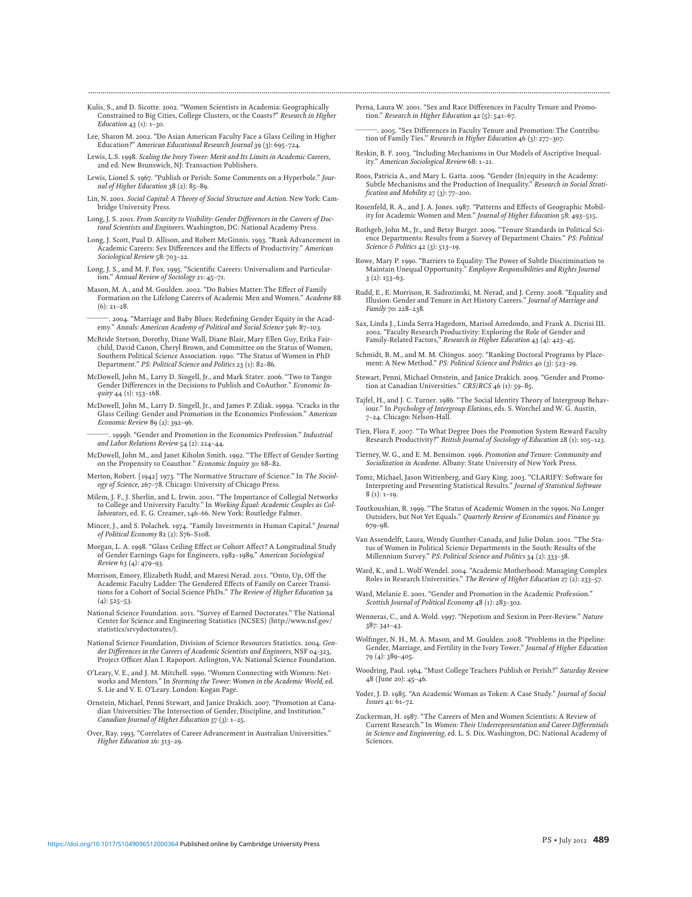- Kulis, S., and D. Sicotte. 2002. "Women Scientists in Academia: Geographically Constrained to Big Cities, College Clusters, or the Coasts?" *Research in Higher Education* 43 (1): 1–30.
- Lee, Sharon M. 2002. "Do Asian American Faculty Face a Glass Ceiling in Higher Education?" *American Educational Research Journal* 39 (3): 695–724.
- Lewis, L.S. 1998. *Scaling the Ivory Tower: Merit and Its Limits in Academic Careers*, 2nd ed. New Brunswich, NJ: Transaction Publishers.
- Lewis, Lionel S. 1967. "Publish or Perish: Some Comments on a Hyperbole." *Journal of Higher Education* 38 (2): 85–89.
- Lin, N. 2001. *Social Capital: A Theory of Social Structure and Action*. New York: Cambridge University Press.
- Long, J. S. 2001. *From Scarcity to Visibility: Gender Differences in the Careers of Doctoral Scientists and Engineers*. Washington, DC: National Academy Press.
- Long, J. Scott, Paul D. Allison, and Robert McGinnis. 1993. "Rank Advancement in Academic Careers: Sex Differences and the Effects of Productivity." *American Sociological Review* 58: 703–22.
- Long, J. S., and M. F. Fox. 1995. "Scientific Careers: Universalism and Particular-ism." *Annual Review of Sociology* 21: 45–71.
- Mason, M. A., and M. Goulden. 2002. "Do Babies Matter: The Effect of Family Formation on the Lifelong Careers of Academic Men and Women." *Academe* 88  $(6): 21 - 28$ Mason, M. A., and M. Goulden. 2002. "Do Babies Matter: The Effect of Family<br>Formation on the Lifelong Careers of Academic Men and Women." *Academe*<br>(6): 21–28.<br>2004. "Marriage and Baby Blues: Redefining Gender Equity in th
- 
- McBride Stetson, Dorothy, Diane Wall, Diane Blair, Mary Ellen Guy, Erika Fairchild, David Canon, Cheryl Brown, and Committee on the Status of Women, Southern Political Science Association. 1990. "The Status of Women in PhD Department." *PS: Political Science and Politics* 23 (1): 82–86.
- McDowell, John M., Larry D. Singell, Jr., and Mark Stater. 2006. "Two to Tango: Gender Differences in the Decisions to Publish and CoAuthor." *Economic Inquiry* 44 (1): 153–168.
- McDowell, John M., Larry D. Singell, Jr., and James P. Ziliak. 1999a. "Cracks in the Glass Ceiling: Gender and Promotion in the Economics Profession." *American Economic Review* 89 (2): 392–96. McDowell, John M., Larry D. Singell, Jr., and James P. Ziliak. 1999a. "Cracks in t<br>Glass Ceiling: Gender and Promotion in the Economics Profession." *America*<br>*Economic Review* 89 (2): 392–96.<br>**America**<br>*Industrial and L*
- *and Labor Relations Review* 54 (2): 224–44.
- McDowell, John M., and Janet Kiholm Smith. 1992. "The Effect of Gender Sorting on the Propensity to Coauthor." *Economic Inquiry* 30: 68–82.
- Merton, Robert. [1942] 1973. "The Normative Structure of Science." In *The Sociol-ogy of Science*, 267–78. Chicago: University of Chicago Press.
- Milem, J. F., J. Sherlin, and L. Irwin. 2001. "The Importance of Collegial Networks to College and University Faculty." In *Working Equal: Academic Couples as Collaborators*, ed. E. G. Creamer, 146–66. New York: Routledge Falmer.
- Mincer, J., and S. Polachek. 1974. "Family Investments in Human Capital." *Journal of Political Economy* 82 (2): S76–S108.
- Morgan, L. A. 1998. "Glass Ceiling Effect or Cohort Affect? A Longitudinal Study of Gender Earnings Gaps for Engineers, 1982–1989." *American Sociological Review* 63 (4): 479–93.
- Morrison, Emory, Elizabeth Rudd, and Maresi Nerad. 2011. "Onto, Up, Off the Academic Faculty Ladder: The Gendered Effects of Family on Career Transitions for a Cohort of Social Science PhDs." *The Review of Higher Education* 34  $(4): 525 - 53.$
- National Science Foundation. 2011. "Survey of Earned Doctorates." The National Center for Science and Engineering Statistics (NCSES) (http://www.nsf.gov/ statistics/srvydoctorates/).
- National Science Foundation, Division of Science Resources Statistics. 2004. *Gender Differences in the Careers of Academic Scientists and Engineers*, NSF 04-323, Project Officer Alan I. Rapoport. Arlington, VA: National Science Foundation.
- O'Leary, V. E., and J. M. Mitchell. 1990. "Women Connecting with Women: Networks and Mentors." In *Storming the Tower: Women in the Academic World*, ed. S. Lie and V. E. O'Leary. London: Kogan Page.
- Ornstein, Michael, Penni Stewart, and Janice Drakich. 2007. "Promotion at Canadian Universities: The Intersection of Gender, Discipline, and Institution." *Canadian Journal of Higher Education* 37 (3): 1–25.
- Over, Ray. 1993. "Correlates of Career Advancement in Australian Universities." *Higher Education* 26: 313–29.

Perna, Laura W. 2001. "Sex and Race Differences in Faculty Tenure and Promotion." *Research in Higher Education* 42 (5): 541–67. Perna, Laura W. 2001. "Sex and Race Differences in Faculty Tenure and Promotion." *Research in Higher Education* 42 (5): 541–67.<br>2005. "Sex Differences in Faculty Tenure and Promotion: The Contribu-<br>tion of Family Ties."

**.............................................................................................................................................................................................................................................................**

- 
- Reskin, B. F. 2003. "Including Mechanisms in Our Models of Ascriptive Inequality." *American Sociological Review* 68: 1–21.
- Roos, Patricia A., and Mary L. Gatta. 2009. "Gender (In)equity in the Academy: Subtle Mechanisms and the Production of Inequality." *Research in Social Stratification and Mobility* 27 (3): 77–200.
- Rosenfeld, R. A., and J. A. Jones. 1987. "Patterns and Effects of Geographic Mobility for Academic Women and Men." *Journal of Higher Education* 58: 493–515.
- Rothgeb, John M., Jr., and Betsy Burger. 2009. "Tenure Standards in Political Sci-ence Departments: Results from a Survey of Department Chairs." *PS: Political Science & Politics* 42 (3): 513–19.
- Rowe, Mary P. 1990. "Barriers to Equality: The Power of Subtle Discrimination to Maintain Unequal Opportunity." *Employee Responsibilities and Rights Journal*  $3(2): 153-63.$
- Rudd, E., E. Morrison, R. Sadrozinski, M. Nerad, and J. Cerny. 2008. "Equality and Illusion: Gender and Tenure in Art History Careers." *Journal of Marriage and Family* 70: 228–238.
- Sax, Linda J., Linda Serra Hagedorn, Marisol Arredondo, and Frank A. Dicrisi III. 2002. "Faculty Research Productivity: Exploring the Role of Gender and Family-Related Factors," *Research in Higher Education* 43 (4): 423–45.
- Schmidt, B. M., and M. M. Chingos. 2007. "Ranking Doctoral Programs by Place-ment: A New Method." *PS: Political Science and Politics* 40 (3): 523–29.
- Stewart, Penni, Michael Ornstein, and Janice Drakich. 2009. "Gender and Promotion at Canadian Universities." *CRS/RCS* 46 (1): 59–85.
- Tajfel, H., and J. C. Turner. 1986. "The Social Identity Theory of Intergroup Behaviour." In *Psychology of Intergroup Elations*, eds. S. Worchel and W. G. Austin, 7–24. Chicago: Nelson-Hall.
- Tien, Flora F. 2007. "To What Degree Does the Promotion System Reward Faculty Research Productivity?" *British Journal of Sociology of Education* 28 (1): 105–123.
- Tierney, W. G., and E. M. Bensimon. 1996. *Promotion and Tenure: Community and Socialization in Academe*. Albany: State University of New York Press.
- Tomz, Michael, Jason Wittenberg, and Gary King. 2003. "CLARIFY: Software for Interpreting and Presenting Statistical Results." *Journal of Statistical Software* 8 (1): 1–19.
- Toutkoushian, R. 1999. "The Status of Academic Women in the 1990s. No Longer Outsiders, but Not Yet Equals." *Quarterly Review of Economics and Finance* 39: 679–98.
- Van Assendelft, Laura, Wendy Gunther-Canada, and Julie Dolan. 2001. "The Status of Women in Political Science Departments in the South: Results of the Millennium Survey." *PS: Political Science and Politics* 34 (2): 333–38.
- Ward, K., and L. Wolf-Wendel. 2004. "Academic Motherhood: Managing Complex Roles in Research Universities." *The Review of Higher Education* 27 (2): 233–57.
- Ward, Melanie E. 2001. "Gender and Promotion in the Academic Profession." *Scottish Journal of Political Economy* 48 (1): 283–302.
- Wenneras, C., and A. Wold. 1997. "Nepotism and Sexism in Peer-Review." *Nature* 387: 341–43.
- Wolfinger, N. H., M. A. Mason, and M. Goulden. 2008. "Problems in the Pipeline: Gender, Marriage, and Fertility in the Ivory Tower." *Journal of Higher Education* 79 (4): 389–405.
- Woodring, Paul. 1964. "Must College Teachers Publish or Perish?" *Saturday Review* 48 (June 20): 45–46.
- Yoder, J. D. 1985. "An Academic Woman as Token: A Case Study." *Journal of Social Issues* 41: 61–72.
- Zuckerman, H. 1987. "The Careers of Men and Women Scientists: A Review of Current Research." In *Women: Their Underrepresentation and Career Differentials in Science and Engineering*, ed. L. S. Dix. Washington, DC: National Academy of Sciences.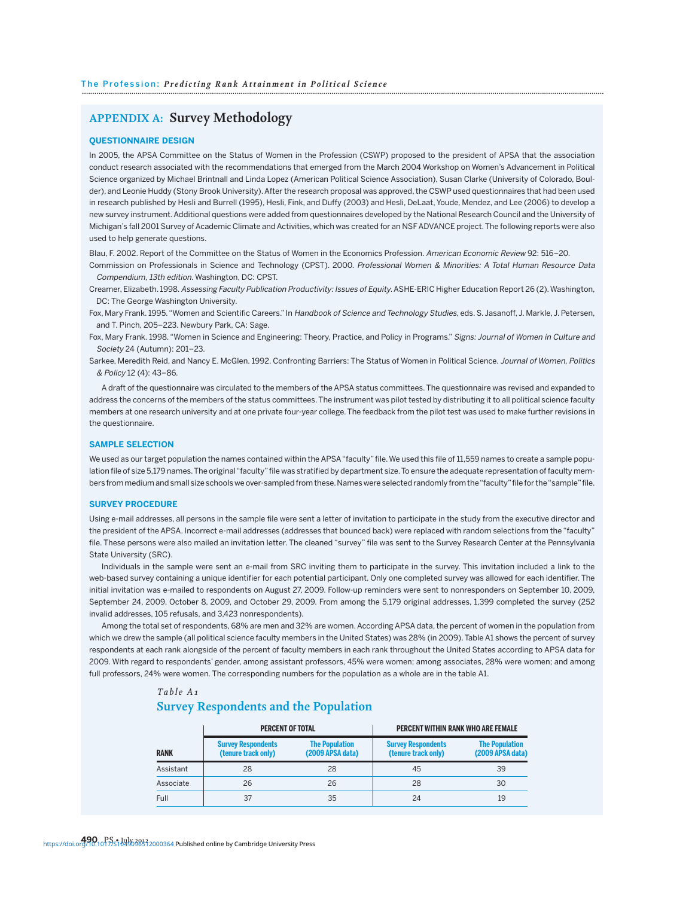# **APPENDIX A: Survey Methodology**

### **QUESTIONNAIRE DESIGN**

In 2005, the APSA Committee on the Status of Women in the Profession (CSWP) proposed to the president of APSA that the association conduct research associated with the recommendations that emerged from the March 2004 Workshop on Women's Advancement in Political Science organized by Michael Brintnall and Linda Lopez (American Political Science Association), Susan Clarke (University of Colorado, Boulder), and Leonie Huddy (Stony Brook University). After the research proposal was approved, the CSWP used questionnaires that had been used in research published by Hesli and Burrell (1995), Hesli, Fink, and Duffy (2003) and Hesli, DeLaat, Youde, Mendez, and Lee (2006) to develop a new survey instrument.Additional questions were added from questionnaires developed by the National Research Council and the University of Michigan's fall 2001 Survey of Academic Climate and Activities, which was created for an NSFADVANCE project. The following reports were also used to help generate questions.

Blau, F. 2002. Report of the Committee on the Status of Women in the Economics Profession. American Economic Review 92: 516–20.

Commission on Professionals in Science and Technology (CPST). 2000. Professional Women & Minorities: A Total Human Resource Data Compendium, 13th edition. Washington, DC: CPST.

Creamer, Elizabeth. 1998. Assessing Faculty Publication Productivity: Issues of Equity. ASHE-ERIC Higher Education Report 26 (2). Washington, DC: The George Washington University.

Fox, Mary Frank. 1995. "Women and Scientific Careers." In Handbook of Science and Technology Studies, eds. S. Jasanoff, J. Markle, J. Petersen, and T. Pinch, 205–223. Newbury Park, CA: Sage.

Fox, Mary Frank. 1998. "Women in Science and Engineering: Theory, Practice, and Policy in Programs." Signs: Journal of Women in Culture and Society 24 (Autumn): 201–23.

Sarkee, Meredith Reid, and Nancy E. McGlen. 1992. Confronting Barriers: The Status of Women in Political Science. Journal of Women, Politics & Policy 12 (4): 43–86.

A draft of the questionnaire was circulated to the members of the APSA status committees. The questionnaire was revised and expanded to address the concerns of the members of the status committees. The instrument was pilot tested by distributing it to all political science faculty members at one research university and at one private four-year college. The feedback from the pilot test was used to make further revisions in the questionnaire.

### **SAMPLE SELECTION**

We used as our target population the names contained within the APSA "faculty" file. We used this file of 11,559 names to create a sample population file of size 5,179 names. The original "faculty" file was stratified by department size. To ensure the adequate representation of faculty members from medium and small size schools we over-sampled from these. Names were selected randomly from the "faculty" file for the "sample" file.

#### **SURVEY PROCEDURE**

Using e-mail addresses, all persons in the sample file were sent a letter of invitation to participate in the study from the executive director and the president of the APSA. Incorrect e-mail addresses (addresses that bounced back) were replaced with random selections from the "faculty" file. These persons were also mailed an invitation letter. The cleaned "survey" file was sent to the Survey Research Center at the Pennsylvania State University (SRC).

Individuals in the sample were sent an e-mail from SRC inviting them to participate in the survey. This invitation included a link to the web-based survey containing a unique identifier for each potential participant. Only one completed survey was allowed for each identifier. The initial invitation was e-mailed to respondents on August 27, 2009. Follow-up reminders were sent to nonresponders on September 10, 2009, September 24, 2009, October 8, 2009, and October 29, 2009. From among the 5,179 original addresses, 1,399 completed the survey (252 invalid addresses, 105 refusals, and 3,423 nonrespondents).

Among the total set of respondents, 68% are men and 32% are women. According APSA data, the percent of women in the population from which we drew the sample (all political science faculty members in the United States) was 28% (in 2009). Table A1 shows the percent of survey respondents at each rank alongside of the percent of faculty members in each rank throughout the United States according to APSA data for 2009. With regard to respondents' gender, among assistant professors, 45% were women; among associates, 28% were women; and among full professors, 24% were women. The corresponding numbers for the population as a whole are in the table A1.

### *Table A1*

### **Survey Respondents and the Population**

|             | PERCENT OF TOTAL                                 |                                           | <b>PERCENT WITHIN RANK WHO ARE FEMALE</b>        |                                           |  |
|-------------|--------------------------------------------------|-------------------------------------------|--------------------------------------------------|-------------------------------------------|--|
| <b>RANK</b> | <b>Survey Respondents</b><br>(tenure track only) | <b>The Population</b><br>(2009 APSA data) | <b>Survey Respondents</b><br>(tenure track only) | <b>The Population</b><br>(2009 APSA data) |  |
| Assistant   | 28                                               | 28                                        | 45                                               | 39                                        |  |
| Associate   | 26                                               | 26                                        | 28                                               | 30                                        |  |
| <b>Full</b> | 37                                               | 35                                        | 24                                               | 19                                        |  |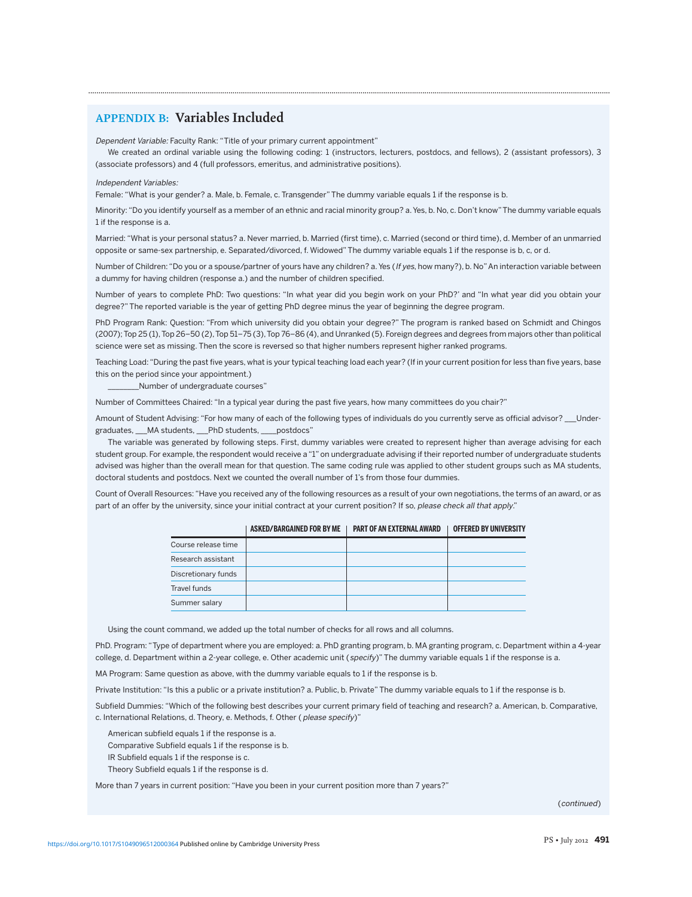# **APPENDIX B: Variables Included**

Dependent Variable: Faculty Rank: "Title of your primary current appointment"

We created an ordinal variable using the following coding: 1 (instructors, lecturers, postdocs, and fellows), 2 (assistant professors), 3 (associate professors) and 4 (full professors, emeritus, and administrative positions).

**.............................................................................................................................................................................................................................................................**

### Independent Variables:

Female: "What is your gender? a. Male, b. Female, c. Transgender" The dummy variable equals 1 if the response is b.

Minority: "Do you identify yourself as a member of an ethnic and racial minority group? a. Yes, b. No, c. Don't know" The dummy variable equals 1 if the response is a.

Married: "What is your personal status? a. Never married, b. Married (first time), c. Married (second or third time), d. Member of an unmarried opposite or same-sex partnership, e. Separated/divorced, f. Widowed" The dummy variable equals 1 if the response is b, c, or d.

Number of Children: "Do you or a spouse/partner of yours have any children? a. Yes (If yes, how many?), b. No" An interaction variable between a dummy for having children (response a.) and the number of children specified.

Number of years to complete PhD: Two questions: "In what year did you begin work on your PhD?' and "In what year did you obtain your degree?" The reported variable is the year of getting PhD degree minus the year of beginning the degree program.

PhD Program Rank: Question: "From which university did you obtain your degree?" The program is ranked based on Schmidt and Chingos (2007); Top 25 (1), Top 26–50 (2), Top 51–75 (3), Top 76–86 (4), and Unranked (5). Foreign degrees and degrees from majors other than political science were set as missing. Then the score is reversed so that higher numbers represent higher ranked programs.

Teaching Load: "During the past five years, what is your typical teaching load each year? (If in your current position for less than five years, base this on the period since your appointment.)

\_\_\_\_\_\_\_\_Number of undergraduate courses"

Number of Committees Chaired: "In a typical year during the past five years, how many committees do you chair?"

Amount of Student Advising: "For how many of each of the following types of individuals do you currently serve as official advisor? \_\_ Undergraduates, MA students, PhD students, postdocs"

The variable was generated by following steps. First, dummy variables were created to represent higher than average advising for each student group. For example, the respondent would receive a "1" on undergraduate advising if their reported number of undergraduate students advised was higher than the overall mean for that question. The same coding rule was applied to other student groups such as MA students, doctoral students and postdocs. Next we counted the overall number of 1's from those four dummies.

Count of Overall Resources: "Have you received any of the following resources as a result of your own negotiations, the terms of an award, or as part of an offer by the university, since your initial contract at your current position? If so, please check all that apply."

|                     | <b>ASKED/BARGAINED FOR BY ME</b> | <b>PART OF AN EXTERNAL AWARD</b> | <b>OFFERED BY UNIVERSITY</b> |
|---------------------|----------------------------------|----------------------------------|------------------------------|
| Course release time |                                  |                                  |                              |
| Research assistant  |                                  |                                  |                              |
| Discretionary funds |                                  |                                  |                              |
| Travel funds        |                                  |                                  |                              |
| Summer salary       |                                  |                                  |                              |

Using the count command, we added up the total number of checks for all rows and all columns.

PhD. Program: "Type of department where you are employed: a. PhD granting program, b. MA granting program, c. Department within a 4-year college, d. Department within a 2-year college, e. Other academic unit (specify)" The dummy variable equals 1 if the response is a.

MA Program: Same question as above, with the dummy variable equals to 1 if the response is b.

Private Institution: "Is this a public or a private institution? a. Public, b. Private" The dummy variable equals to 1 if the response is b.

Subfield Dummies: "Which of the following best describes your current primary field of teaching and research? a. American, b. Comparative, c. International Relations, d. Theory, e. Methods, f. Other ( please specify)"

American subfield equals 1 if the response is a.

Comparative Subfield equals 1 if the response is b.

IR Subfield equals 1 if the response is c.

Theory Subfield equals 1 if the response is d.

More than 7 years in current position: "Have you been in your current position more than 7 years?"

(continued)